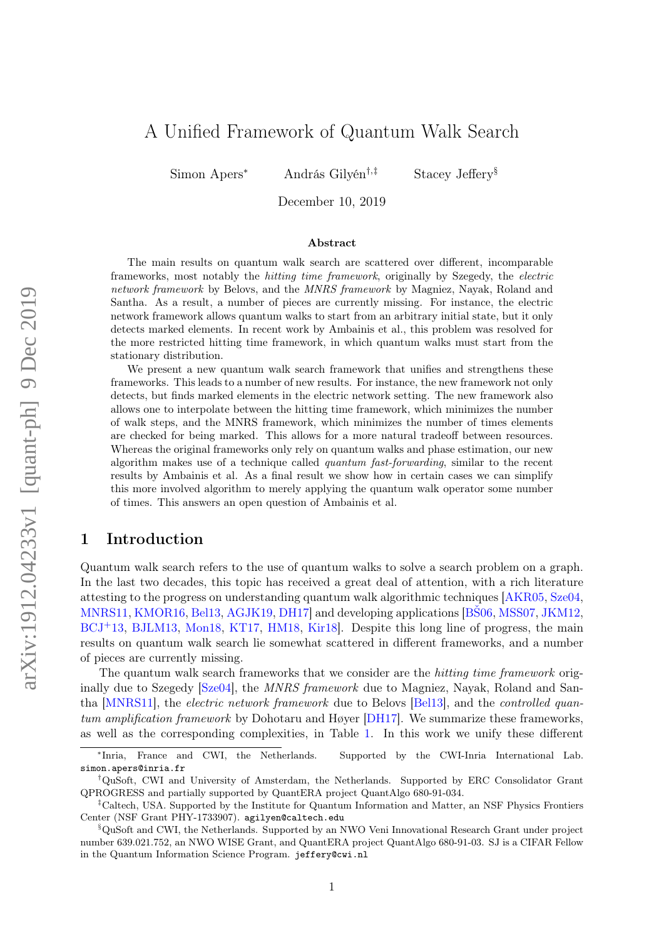# A Unified Framework of Quantum Walk Search

Simon Apers<sup>∗</sup> András Gilyén†,‡ Stacey Jeffery§

December 10, 2019

#### Abstract

The main results on quantum walk search are scattered over different, incomparable frameworks, most notably the hitting time framework, originally by Szegedy, the electric network framework by Belovs, and the MNRS framework by Magniez, Nayak, Roland and Santha. As a result, a number of pieces are currently missing. For instance, the electric network framework allows quantum walks to start from an arbitrary initial state, but it only detects marked elements. In recent work by Ambainis et al., this problem was resolved for the more restricted hitting time framework, in which quantum walks must start from the stationary distribution.

We present a new quantum walk search framework that unifies and strengthens these frameworks. This leads to a number of new results. For instance, the new framework not only detects, but finds marked elements in the electric network setting. The new framework also allows one to interpolate between the hitting time framework, which minimizes the number of walk steps, and the MNRS framework, which minimizes the number of times elements are checked for being marked. This allows for a more natural tradeoff between resources. Whereas the original frameworks only rely on quantum walks and phase estimation, our new algorithm makes use of a technique called quantum fast-forwarding, similar to the recent results by Ambainis et al. As a final result we show how in certain cases we can simplify this more involved algorithm to merely applying the quantum walk operator some number of times. This answers an open question of Ambainis et al.

# 1 Introduction

Quantum walk search refers to the use of quantum walks to solve a search problem on a graph. In the last two decades, this topic has received a great deal of attention, with a rich literature attesting to the progress on understanding quantum walk algorithmic techniques [\[AKR05,](#page-26-0) [Sze04,](#page-28-0) [MNRS11,](#page-27-0) [KMOR16,](#page-27-1) [Bel13,](#page-26-1) [AGJK19,](#page-26-2) [DH17\]](#page-27-2) and developing applications [\[BŠ06,](#page-26-3) [MSS07,](#page-28-1) [JKM12,](#page-27-3) [BCJ](#page-26-4)+13, [BJLM13,](#page-26-5) [Mon18,](#page-27-4) [KT17,](#page-27-5) [HM18,](#page-27-6) [Kir18\]](#page-27-7). Despite this long line of progress, the main results on quantum walk search lie somewhat scattered in different frameworks, and a number of pieces are currently missing.

The quantum walk search frameworks that we consider are the *hitting time framework* orig-inally due to Szegedy [\[Sze04\]](#page-28-0), the *MNRS framework* due to Magniez, Nayak, Roland and Santha [\[MNRS11\]](#page-27-0), the electric network framework due to Belovs [\[Bel13\]](#page-26-1), and the controlled quantum amplification framework by Dohotaru and Høyer [\[DH17\]](#page-27-2). We summarize these frameworks, as well as the corresponding complexities, in Table [1.](#page-2-0) In this work we unify these different

<sup>∗</sup> France and CWI, the Netherlands. Supported by the CWI-Inria International Lab. simon.apers@inria.fr

<sup>†</sup>QuSoft, CWI and University of Amsterdam, the Netherlands. Supported by ERC Consolidator Grant QPROGRESS and partially supported by QuantERA project QuantAlgo 680-91-034.

<sup>‡</sup>Caltech, USA. Supported by the Institute for Quantum Information and Matter, an NSF Physics Frontiers Center (NSF Grant PHY-1733907). agilyen@caltech.edu

<sup>§</sup>QuSoft and CWI, the Netherlands. Supported by an NWO Veni Innovational Research Grant under project number 639.021.752, an NWO WISE Grant, and QuantERA project QuantAlgo 680-91-03. SJ is a CIFAR Fellow in the Quantum Information Science Program. jeffery@cwi.nl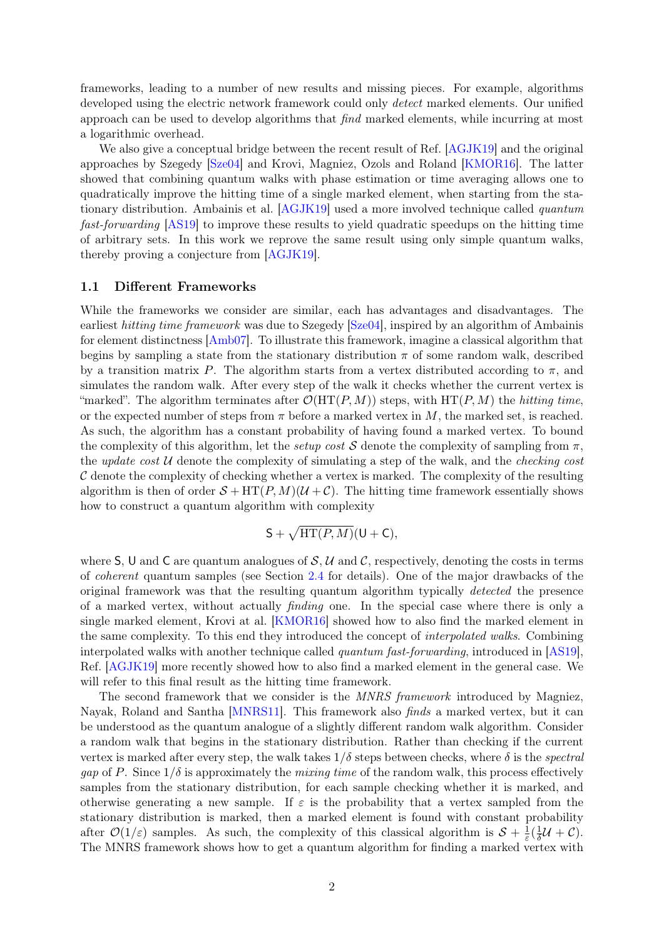frameworks, leading to a number of new results and missing pieces. For example, algorithms developed using the electric network framework could only *detect* marked elements. Our unified approach can be used to develop algorithms that find marked elements, while incurring at most a logarithmic overhead.

We also give a conceptual bridge between the recent result of Ref. [\[AGJK19\]](#page-26-2) and the original approaches by Szegedy [\[Sze04\]](#page-28-0) and Krovi, Magniez, Ozols and Roland [\[KMOR16\]](#page-27-1). The latter showed that combining quantum walks with phase estimation or time averaging allows one to quadratically improve the hitting time of a single marked element, when starting from the stationary distribution. Ambainis et al. [\[AGJK19\]](#page-26-2) used a more involved technique called quantum fast-forwarding [\[AS19\]](#page-26-6) to improve these results to yield quadratic speedups on the hitting time of arbitrary sets. In this work we reprove the same result using only simple quantum walks, thereby proving a conjecture from [\[AGJK19\]](#page-26-2).

### 1.1 Different Frameworks

While the frameworks we consider are similar, each has advantages and disadvantages. The earliest hitting time framework was due to Szegedy [\[Sze04\]](#page-28-0), inspired by an algorithm of Ambainis for element distinctness [\[Amb07\]](#page-26-7). To illustrate this framework, imagine a classical algorithm that begins by sampling a state from the stationary distribution  $\pi$  of some random walk, described by a transition matrix P. The algorithm starts from a vertex distributed according to  $\pi$ , and simulates the random walk. After every step of the walk it checks whether the current vertex is "marked". The algorithm terminates after  $\mathcal{O}(HT(P, M))$  steps, with  $HT(P, M)$  the *hitting time*, or the expected number of steps from  $\pi$  before a marked vertex in M, the marked set, is reached. As such, the algorithm has a constant probability of having found a marked vertex. To bound the complexity of this algorithm, let the setup cost S denote the complexity of sampling from  $\pi$ , the update cost  $U$  denote the complexity of simulating a step of the walk, and the *checking cost*  $\mathcal C$  denote the complexity of checking whether a vertex is marked. The complexity of the resulting algorithm is then of order  $S + HT(P, M)(U + C)$ . The hitting time framework essentially shows how to construct a quantum algorithm with complexity

$$
S + \sqrt{HT(P, M)}(U + C),
$$

where S, U and C are quantum analogues of S, U and C, respectively, denoting the costs in terms of coherent quantum samples (see Section [2.4](#page-7-0) for details). One of the major drawbacks of the original framework was that the resulting quantum algorithm typically detected the presence of a marked vertex, without actually finding one. In the special case where there is only a single marked element, Krovi at al. [\[KMOR16\]](#page-27-1) showed how to also find the marked element in the same complexity. To this end they introduced the concept of interpolated walks. Combining interpolated walks with another technique called quantum fast-forwarding, introduced in [\[AS19\]](#page-26-6), Ref. [\[AGJK19\]](#page-26-2) more recently showed how to also find a marked element in the general case. We will refer to this final result as the hitting time framework.

The second framework that we consider is the MNRS framework introduced by Magniez, Nayak, Roland and Santha [\[MNRS11\]](#page-27-0). This framework also finds a marked vertex, but it can be understood as the quantum analogue of a slightly different random walk algorithm. Consider a random walk that begins in the stationary distribution. Rather than checking if the current vertex is marked after every step, the walk takes  $1/\delta$  steps between checks, where  $\delta$  is the spectral gap of P. Since  $1/\delta$  is approximately the mixing time of the random walk, this process effectively samples from the stationary distribution, for each sample checking whether it is marked, and otherwise generating a new sample. If  $\varepsilon$  is the probability that a vertex sampled from the stationary distribution is marked, then a marked element is found with constant probability after  $\mathcal{O}(1/\varepsilon)$  samples. As such, the complexity of this classical algorithm is  $S + \frac{1}{\varepsilon}$  $rac{1}{\varepsilon}(\frac{1}{\delta}% -\varepsilon\cdot\hat{\gamma}_{0}\cdot\hat{\gamma}_{0})=-\frac{1}{\varepsilon}(\frac{1}{\varepsilon\cdot\hat{\gamma}_{0}\cdot\hat{\gamma}_{0}\cdot\hat{\gamma}_{0}\cdot\hat{\gamma}_{0}\cdot\hat{\gamma}_{0}\cdot\hat{\gamma}_{0}\cdot\hat{\gamma}_{0}\cdot\hat{\gamma}_{0}\cdot\hat{\gamma}_{0}\cdot\hat{\gamma}_{0}\cdot\hat{\gamma}_{0}\cdot\hat{\gamma}_{0}\cdot\hat{\gamma}_{0}\cdot\hat{\gamma}_{0}\cdot\hat{\gamma}_{0}\cdot\hat{\gamma}_{0}\cdot\hat{\gamma}_{0}\cdot\hat{\gamma}_{0}\cdot\hat{\gamma}_{0}\cdot\hat{\gamma}_{0}\$  $\frac{1}{\delta}$ U + C). The MNRS framework shows how to get a quantum algorithm for finding a marked vertex with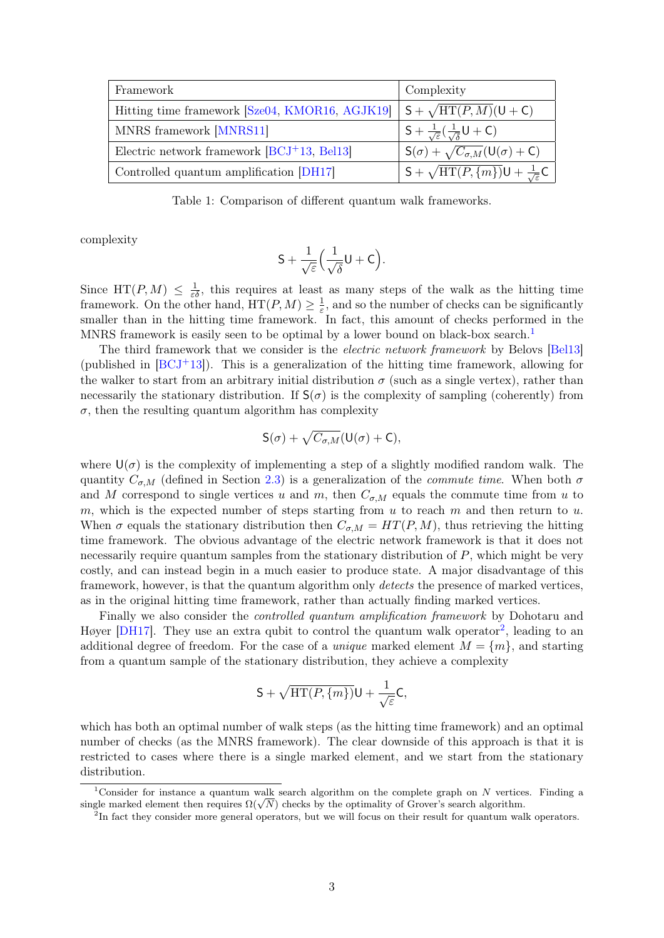<span id="page-2-0"></span>

| Framework                                      | Complexity                                                            |
|------------------------------------------------|-----------------------------------------------------------------------|
| Hitting time framework [Sze04, KMOR16, AGJK19] | $S + \sqrt{\text{HT}(P,M)}$ (U + C)                                   |
| MNRS framework [MNRS11]                        | $S + \frac{1}{\sqrt{\varepsilon}}(\frac{1}{\sqrt{\varepsilon}}U + C)$ |
| Electric network framework $[BCJ^+13, Bel13]$  | $S(\sigma) + \sqrt{C_{\sigma,M}}(U(\sigma) + C)$                      |
| Controlled quantum amplification [DH17]        | $S + \sqrt{\text{HT}(P,\{m\})}U + \frac{1}{\sqrt{\varepsilon}}C$      |

Table 1: Comparison of different quantum walk frameworks.

complexity

$$
S+\frac{1}{\sqrt{\varepsilon}}\Big(\frac{1}{\sqrt{\delta}}U+C\Big).
$$

Since  $HT(P, M) \leq \frac{1}{\varepsilon \delta}$ , this requires at least as many steps of the walk as the hitting time framework. On the other hand,  $HT(P, M) \geq \frac{1}{s}$  $\frac{1}{\varepsilon}$ , and so the number of checks can be significantly smaller than in the hitting time framework. In fact, this amount of checks performed in the MNRS framework is easily seen to be optimal by a lower bound on black-box search.<sup>[1](#page-2-1)</sup>

The third framework that we consider is the *electric network framework* by Belovs [\[Bel13\]](#page-26-1) (published in  $[BCJ^+13]$  $[BCJ^+13]$ ). This is a generalization of the hitting time framework, allowing for the walker to start from an arbitrary initial distribution  $\sigma$  (such as a single vertex), rather than necessarily the stationary distribution. If  $S(\sigma)$  is the complexity of sampling (coherently) from  $\sigma$ , then the resulting quantum algorithm has complexity

$$
S(\sigma) + \sqrt{C_{\sigma,M}}(U(\sigma) + C),
$$

where  $U(\sigma)$  is the complexity of implementing a step of a slightly modified random walk. The quantity  $C_{\sigma,M}$  (defined in Section [2.3\)](#page-6-0) is a generalization of the *commute time*. When both  $\sigma$ and M correspond to single vertices u and m, then  $C_{\sigma,M}$  equals the commute time from u to m, which is the expected number of steps starting from  $u$  to reach  $m$  and then return to  $u$ . When  $\sigma$  equals the stationary distribution then  $C_{\sigma,M} = HT(P,M)$ , thus retrieving the hitting time framework. The obvious advantage of the electric network framework is that it does not necessarily require quantum samples from the stationary distribution of  $P$ , which might be very costly, and can instead begin in a much easier to produce state. A major disadvantage of this framework, however, is that the quantum algorithm only *detects* the presence of marked vertices, as in the original hitting time framework, rather than actually finding marked vertices.

Finally we also consider the controlled quantum amplification framework by Dohotaru and Høyer  $[DH17]$ . They use an extra qubit to control the quantum walk operator<sup>[2](#page-2-2)</sup>, leading to an additional degree of freedom. For the case of a *unique* marked element  $M = \{m\}$ , and starting from a quantum sample of the stationary distribution, they achieve a complexity

$$
\mathsf{S}+\sqrt{\mathrm{HT}(P,\{m\})}\mathsf{U}+\frac{1}{\sqrt{\varepsilon}}\mathsf{C},
$$

which has both an optimal number of walk steps (as the hitting time framework) and an optimal number of checks (as the MNRS framework). The clear downside of this approach is that it is restricted to cases where there is a single marked element, and we start from the stationary distribution.

<span id="page-2-1"></span><sup>&</sup>lt;sup>1</sup>Consider for instance a quantum walk search algorithm on the complete graph on N vertices. Finding a Consider for instance a quantum walk search algorithm on the complete graph on N vertice<br>single marked element then requires  $\Omega(\sqrt{N})$  checks by the optimality of Grover's search algorithm.

<span id="page-2-2"></span><sup>&</sup>lt;sup>2</sup>In fact they consider more general operators, but we will focus on their result for quantum walk operators.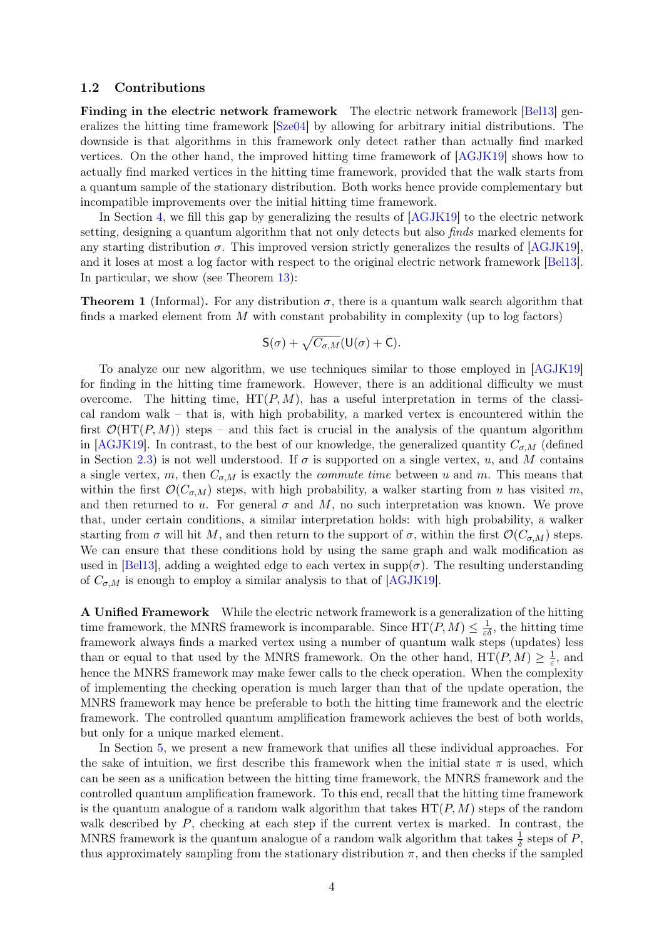### 1.2 Contributions

Finding in the electric network framework The electric network framework [\[Bel13\]](#page-26-1) generalizes the hitting time framework [\[Sze04\]](#page-28-0) by allowing for arbitrary initial distributions. The downside is that algorithms in this framework only detect rather than actually find marked vertices. On the other hand, the improved hitting time framework of [\[AGJK19\]](#page-26-2) shows how to actually find marked vertices in the hitting time framework, provided that the walk starts from a quantum sample of the stationary distribution. Both works hence provide complementary but incompatible improvements over the initial hitting time framework.

In Section [4,](#page-12-0) we fill this gap by generalizing the results of  $[AGJK19]$  to the electric network setting, designing a quantum algorithm that not only detects but also finds marked elements for any starting distribution  $\sigma$ . This improved version strictly generalizes the results of [\[AGJK19\]](#page-26-2), and it loses at most a log factor with respect to the original electric network framework [\[Bel13\]](#page-26-1). In particular, we show (see Theorem [13\)](#page-12-1):

<span id="page-3-0"></span>**Theorem 1** (Informal). For any distribution  $\sigma$ , there is a quantum walk search algorithm that finds a marked element from  $M$  with constant probability in complexity (up to log factors)

$$
S(\sigma) + \sqrt{C_{\sigma,M}}(U(\sigma) + C).
$$

To analyze our new algorithm, we use techniques similar to those employed in [\[AGJK19\]](#page-26-2) for finding in the hitting time framework. However, there is an additional difficulty we must overcome. The hitting time,  $HT(P, M)$ , has a useful interpretation in terms of the classical random walk – that is, with high probability, a marked vertex is encountered within the first  $\mathcal{O}(HT(P, M))$  steps – and this fact is crucial in the analysis of the quantum algorithm in [\[AGJK19\]](#page-26-2). In contrast, to the best of our knowledge, the generalized quantity  $C_{\sigma,M}$  (defined in Section [2.3\)](#page-6-0) is not well understood. If  $\sigma$  is supported on a single vertex, u, and M contains a single vertex, m, then  $C_{\sigma,M}$  is exactly the *commute time* between u and m. This means that within the first  $\mathcal{O}(C_{\sigma,M})$  steps, with high probability, a walker starting from u has visited m. and then returned to u. For general  $\sigma$  and M, no such interpretation was known. We prove that, under certain conditions, a similar interpretation holds: with high probability, a walker starting from  $\sigma$  will hit M, and then return to the support of  $\sigma$ , within the first  $\mathcal{O}(C_{\sigma,M})$  steps. We can ensure that these conditions hold by using the same graph and walk modification as used in [\[Bel13\]](#page-26-1), adding a weighted edge to each vertex in  $\text{supp}(\sigma)$ . The resulting understanding of  $C_{\sigma,M}$  is enough to employ a similar analysis to that of [\[AGJK19\]](#page-26-2).

A Unified Framework While the electric network framework is a generalization of the hitting time framework, the MNRS framework is incomparable. Since  $HT(P, M) \leq \frac{1}{\varepsilon \delta}$ , the hitting time framework always finds a marked vertex using a number of quantum walk steps (updates) less than or equal to that used by the MNRS framework. On the other hand,  $HT(P, M) \geq \frac{1}{\varepsilon}$  $\frac{1}{\varepsilon}$ , and hence the MNRS framework may make fewer calls to the check operation. When the complexity of implementing the checking operation is much larger than that of the update operation, the MNRS framework may hence be preferable to both the hitting time framework and the electric framework. The controlled quantum amplification framework achieves the best of both worlds, but only for a unique marked element.

In Section [5,](#page-22-0) we present a new framework that unifies all these individual approaches. For the sake of intuition, we first describe this framework when the initial state  $\pi$  is used, which can be seen as a unification between the hitting time framework, the MNRS framework and the controlled quantum amplification framework. To this end, recall that the hitting time framework is the quantum analogue of a random walk algorithm that takes  $HT(P, M)$  steps of the random walk described by  $P$ , checking at each step if the current vertex is marked. In contrast, the MNRS framework is the quantum analogue of a random walk algorithm that takes  $\frac{1}{\delta}$  steps of P, thus approximately sampling from the stationary distribution  $\pi$ , and then checks if the sampled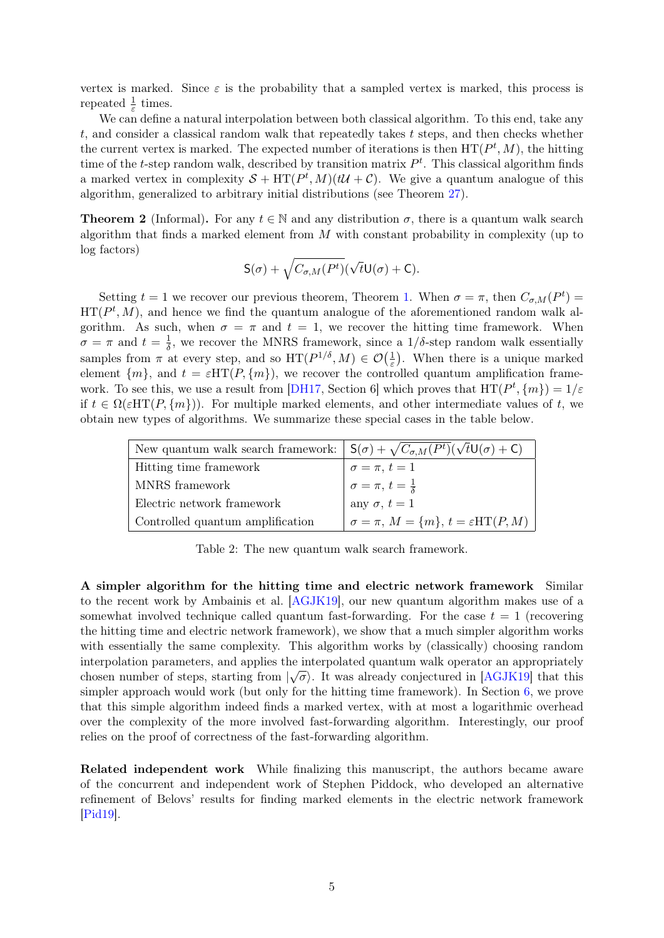vertex is marked. Since  $\varepsilon$  is the probability that a sampled vertex is marked, this process is repeated  $\frac{1}{\varepsilon}$  times.

We can define a natural interpolation between both classical algorithm. To this end, take any t, and consider a classical random walk that repeatedly takes t steps, and then checks whether the current vertex is marked. The expected number of iterations is then  $HT(P^t, M)$ , the hitting time of the t-step random walk, described by transition matrix  $P<sup>t</sup>$ . This classical algorithm finds a marked vertex in complexity  $S + HT(P^t, M)(t\mathcal{U} + \mathcal{C})$ . We give a quantum analogue of this algorithm, generalized to arbitrary initial distributions (see Theorem [27\)](#page-22-1).

**Theorem 2** (Informal). For any  $t \in \mathbb{N}$  and any distribution  $\sigma$ , there is a quantum walk search algorithm that finds a marked element from  $M$  with constant probability in complexity (up to log factors)

$$
\mathsf{S}(\sigma)+\sqrt{C_{\sigma,M}(P^t)}(\sqrt{t}\mathsf{U}(\sigma)+\mathsf{C}).
$$

Setting  $t = 1$  we recover our previous theorem, Theorem [1.](#page-3-0) When  $\sigma = \pi$ , then  $C_{\sigma,M}(P^t) =$  $HT(P<sup>t</sup>, M)$ , and hence we find the quantum analogue of the aforementioned random walk algorithm. As such, when  $\sigma = \pi$  and  $t = 1$ , we recover the hitting time framework. When  $\sigma = \pi$  and  $t = \frac{1}{\delta}$ , we recover the MNRS framework, since a 1/ $\delta$ -step random walk essentially δ samples from  $\pi$  at every step, and so  $HT(P^{1/\delta}, M) \in \mathcal{O}(\frac{1}{\varepsilon})$  $(\frac{1}{\varepsilon})$ . When there is a unique marked element  $\{m\}$ , and  $t = \varepsilon HT(P, \{m\})$ , we recover the controlled quantum amplification frame-work. To see this, we use a result from [\[DH17,](#page-27-2) Section 6] which proves that  $HT(P^t, \{m\}) = 1/\varepsilon$ if  $t \in \Omega(\varepsilon HT(P, \{m\}))$ . For multiple marked elements, and other intermediate values of t, we obtain new types of algorithms. We summarize these special cases in the table below.

| New quantum walk search framework: $\int S(\sigma) + \sqrt{C_{\sigma,M}(P^t)(\sqrt{t}\mathsf{U}(\sigma)+\mathsf{C})}$ |                                                                                      |
|-----------------------------------------------------------------------------------------------------------------------|--------------------------------------------------------------------------------------|
| Hitting time framework                                                                                                |                                                                                      |
| MNRS framework                                                                                                        | $\sigma = \pi, t = 1$<br>$\sigma = \pi, t = \frac{1}{\delta}$<br>any $\sigma, t = 1$ |
| Electric network framework                                                                                            |                                                                                      |
| Controlled quantum amplification                                                                                      | $\sigma = \pi, M = \{m\}, t = \varepsilon HT(P, M)$                                  |

Table 2: The new quantum walk search framework.

A simpler algorithm for the hitting time and electric network framework Similar to the recent work by Ambainis et al. [\[AGJK19\]](#page-26-2), our new quantum algorithm makes use of a somewhat involved technique called quantum fast-forwarding. For the case  $t = 1$  (recovering the hitting time and electric network framework), we show that a much simpler algorithm works with essentially the same complexity. This algorithm works by (classically) choosing random interpolation parameters, and applies the interpolated quantum walk operator an appropriately √ chosen number of steps, starting from  $\sqrt{\sigma}$ . It was already conjectured in [\[AGJK19\]](#page-26-2) that this simpler approach would work (but only for the hitting time framework). In Section [6,](#page-23-0) we prove that this simple algorithm indeed finds a marked vertex, with at most a logarithmic overhead over the complexity of the more involved fast-forwarding algorithm. Interestingly, our proof relies on the proof of correctness of the fast-forwarding algorithm.

Related independent work While finalizing this manuscript, the authors became aware of the concurrent and independent work of Stephen Piddock, who developed an alternative refinement of Belovs' results for finding marked elements in the electric network framework [\[Pid19\]](#page-28-2).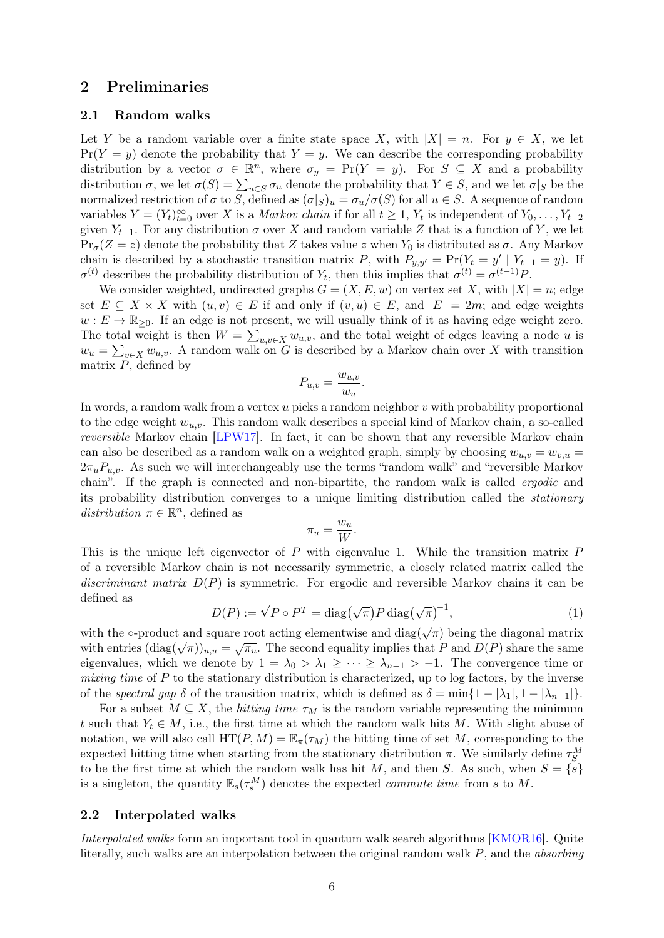# 2 Preliminaries

### 2.1 Random walks

Let Y be a random variable over a finite state space X, with  $|X| = n$ . For  $y \in X$ , we let  $Pr(Y = y)$  denote the probability that  $Y = y$ . We can describe the corresponding probability distribution by a vector  $\sigma \in \mathbb{R}^n$ , where  $\sigma_y = \Pr(Y = y)$ . For  $S \subseteq X$  and a probability distribution  $\sigma$ , we let  $\sigma(S) = \sum_{u \in S} \sigma_u$  denote the probability that  $Y \in S$ , and we let  $\sigma|_S$  be the normalized restriction of  $\sigma$  to S, defined as  $(\sigma|_S)_u = \sigma_u/\sigma(S)$  for all  $u \in S$ . A sequence of random variables  $Y = (Y_t)_{t=0}^{\infty}$  over X is a *Markov chain* if for all  $t \geq 1$ ,  $Y_t$  is independent of  $Y_0, \ldots, Y_{t-2}$ given  $Y_{t-1}$ . For any distribution  $\sigma$  over X and random variable Z that is a function of Y, we let  $Pr_{\sigma}(Z = z)$  denote the probability that Z takes value z when  $Y_0$  is distributed as  $\sigma$ . Any Markov chain is described by a stochastic transition matrix P, with  $P_{y,y'} = \Pr(Y_t = y' | Y_{t-1} = y)$ . If  $\sigma^{(t)}$  describes the probability distribution of  $Y_t$ , then this implies that  $\sigma^{(t)} = \sigma^{(t-1)} P$ .

We consider weighted, undirected graphs  $G = (X, E, w)$  on vertex set X, with  $|X| = n$ ; edge set  $E \subseteq X \times X$  with  $(u, v) \in E$  if and only if  $(v, u) \in E$ , and  $|E| = 2m$ ; and edge weights  $w: E \to \mathbb{R}_{\geq 0}$ . If an edge is not present, we will usually think of it as having edge weight zero. The total weight is then  $W = \sum_{u,v \in X} w_{u,v}$ , and the total weight of edges leaving a node u is  $w_u = \sum_{v \in X} w_{u,v}$ . A random walk on G is described by a Markov chain over X with transition matrix  $P$ , defined by

$$
P_{u,v} = \frac{w_{u,v}}{w_u}.
$$

In words, a random walk from a vertex  $u$  picks a random neighbor  $v$  with probability proportional to the edge weight  $w_{u,v}$ . This random walk describes a special kind of Markov chain, a so-called reversible Markov chain [\[LPW17\]](#page-27-8). In fact, it can be shown that any reversible Markov chain can also be described as a random walk on a weighted graph, simply by choosing  $w_{u,v} = w_{v,u}$  $2\pi_u P_{u,v}$ . As such we will interchangeably use the terms "random walk" and "reversible Markov chain". If the graph is connected and non-bipartite, the random walk is called ergodic and its probability distribution converges to a unique limiting distribution called the stationary distribution  $\pi \in \mathbb{R}^n$ , defined as

$$
\pi_u = \frac{w_u}{W}.
$$

This is the unique left eigenvector of  $P$  with eigenvalue 1. While the transition matrix  $P$ of a reversible Markov chain is not necessarily symmetric, a closely related matrix called the discriminant matrix  $D(P)$  is symmetric. For ergodic and reversible Markov chains it can be defined as

<span id="page-5-0"></span>
$$
D(P) := \sqrt{P \circ P^T} = \text{diag}(\sqrt{\pi}) P \text{diag}(\sqrt{\pi})^{-1}, \qquad (1)
$$

with the ∘-product and square root acting elementwise and diag( $\sqrt{\pi}$ ) being the diagonal matrix with the  $\sigma$ -product and square root acting elementwise and diag( $\sqrt{n}$ ) being the diagonal matrix with entries  $(\text{diag}(\sqrt{\pi}))_{u,u} = \sqrt{\pi_u}$ . The second equality implies that P and  $D(P)$  share the same eigenvalues, which we denote by  $1 = \lambda_0 > \lambda_1 \geq \cdots \geq \lambda_{n-1} > -1$ . The convergence time or mixing time of  $P$  to the stationary distribution is characterized, up to log factors, by the inverse of the spectral gap  $\delta$  of the transition matrix, which is defined as  $\delta = \min\{1 - |\lambda_1|, 1 - |\lambda_{n-1}|\}.$ 

For a subset  $M \subseteq X$ , the *hitting time*  $\tau_M$  is the random variable representing the minimum t such that  $Y_t \in M$ , i.e., the first time at which the random walk hits M. With slight abuse of notation, we will also call  $HT(P, M) = \mathbb{E}_{\pi}(\tau_M)$  the hitting time of set M, corresponding to the expected hitting time when starting from the stationary distribution  $\pi$ . We similarly define  $\tau_S^M$ to be the first time at which the random walk has hit M, and then S. As such, when  $S = \{s\}$ is a singleton, the quantity  $\mathbb{E}_s(\tau_s^M)$  denotes the expected *commute time* from s to M.

### <span id="page-5-1"></span>2.2 Interpolated walks

Interpolated walks form an important tool in quantum walk search algorithms [\[KMOR16\]](#page-27-1). Quite literally, such walks are an interpolation between the original random walk P, and the absorbing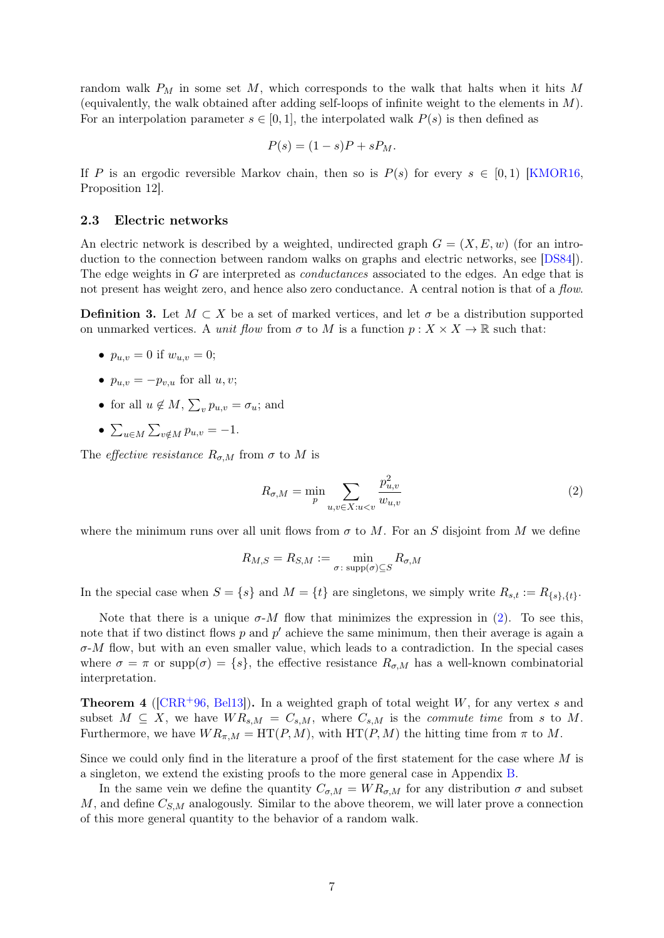random walk  $P_M$  in some set M, which corresponds to the walk that halts when it hits M (equivalently, the walk obtained after adding self-loops of infinite weight to the elements in  $M$ ). For an interpolation parameter  $s \in [0, 1]$ , the interpolated walk  $P(s)$  is then defined as

$$
P(s) = (1 - s)P + sP_M.
$$

If P is an ergodic reversible Markov chain, then so is  $P(s)$  for every  $s \in [0,1)$  [\[KMOR16,](#page-27-1) Proposition 12].

#### <span id="page-6-0"></span>2.3 Electric networks

An electric network is described by a weighted, undirected graph  $G = (X, E, w)$  (for an introduction to the connection between random walks on graphs and electric networks, see [\[DS84\]](#page-27-9)). The edge weights in G are interpreted as *conductances* associated to the edges. An edge that is not present has weight zero, and hence also zero conductance. A central notion is that of a flow.

<span id="page-6-3"></span>**Definition 3.** Let  $M \subset X$  be a set of marked vertices, and let  $\sigma$  be a distribution supported on unmarked vertices. A unit flow from  $\sigma$  to M is a function  $p: X \times X \to \mathbb{R}$  such that:

- $p_{u,v} = 0$  if  $w_{u,v} = 0$ ;
- $p_{u,v} = -p_{v,u}$  for all  $u, v;$
- for all  $u \notin M$ ,  $\sum_{v} p_{u,v} = \sigma_u$ ; and
- $\sum_{u \in M} \sum_{v \notin M} p_{u,v} = -1.$

The *effective resistance*  $R_{\sigma,M}$  from  $\sigma$  to M is

<span id="page-6-1"></span>
$$
R_{\sigma,M} = \min_{p} \sum_{u,v \in X: u < v} \frac{p_{u,v}^2}{w_{u,v}} \tag{2}
$$

where the minimum runs over all unit flows from  $\sigma$  to M. For an S disjoint from M we define

$$
R_{M,S} = R_{S,M} := \min_{\sigma \colon \text{supp}(\sigma) \subseteq S} R_{\sigma,M}
$$

In the special case when  $S = \{s\}$  and  $M = \{t\}$  are singletons, we simply write  $R_{s,t} := R_{\{s\},\{t\}}$ .

Note that there is a unique  $\sigma$ -*M* flow that minimizes the expression in [\(2\)](#page-6-1). To see this, note that if two distinct flows  $p$  and  $p'$  achieve the same minimum, then their average is again a  $\sigma$ -M flow, but with an even smaller value, which leads to a contradiction. In the special cases where  $\sigma = \pi$  or supp $(\sigma) = \{s\}$ , the effective resistance  $R_{\sigma,M}$  has a well-known combinatorial interpretation.

<span id="page-6-2"></span>**Theorem 4** ( $[CRR+96, Bell3]$  $[CRR+96, Bell3]$ ). In a weighted graph of total weight W, for any vertex s and subset  $M \subseteq X$ , we have  $WR_{s,M} = C_{s,M}$ , where  $C_{s,M}$  is the *commute time* from s to M. Furthermore, we have  $WR_{\pi,M} = \text{HT}(P,M)$ , with  $\text{HT}(P,M)$  the hitting time from  $\pi$  to M.

Since we could only find in the literature a proof of the first statement for the case where M is a singleton, we extend the existing proofs to the more general case in Appendix [B.](#page-28-3)

In the same vein we define the quantity  $C_{\sigma,M} = WR_{\sigma,M}$  for any distribution  $\sigma$  and subset  $M$ , and define  $C_{S,M}$  analogously. Similar to the above theorem, we will later prove a connection of this more general quantity to the behavior of a random walk.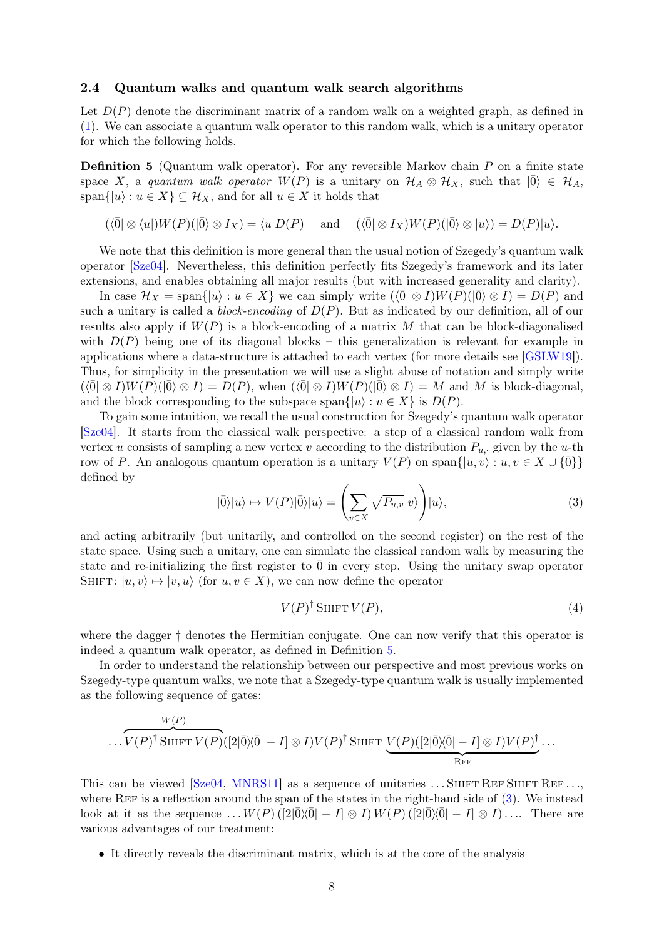### <span id="page-7-0"></span>2.4 Quantum walks and quantum walk search algorithms

Let  $D(P)$  denote the discriminant matrix of a random walk on a weighted graph, as defined in [\(1\)](#page-5-0). We can associate a quantum walk operator to this random walk, which is a unitary operator for which the following holds.

<span id="page-7-1"></span>**Definition 5** (Quantum walk operator). For any reversible Markov chain  $P$  on a finite state space X, a quantum walk operator  $W(P)$  is a unitary on  $\mathcal{H}_A \otimes \mathcal{H}_X$ , such that  $|\overline{0}\rangle \in \mathcal{H}_A$ , span $\{|u\rangle: u \in X\} \subseteq \mathcal{H}_X$ , and for all  $u \in X$  it holds that

$$
(\langle \overline{0} | \otimes \langle u |) W(P)(| \overline{0} \rangle \otimes I_X) = \langle u | D(P) \quad \text{and} \quad (\langle \overline{0} | \otimes I_X) W(P)(| \overline{0} \rangle \otimes |u \rangle) = D(P)|u\rangle.
$$

We note that this definition is more general than the usual notion of Szegedy's quantum walk operator [\[Sze04\]](#page-28-0). Nevertheless, this definition perfectly fits Szegedy's framework and its later extensions, and enables obtaining all major results (but with increased generality and clarity).

In case  $\mathcal{H}_X = \text{span}\{|u\rangle : u \in X\}$  we can simply write  $(\langle 0| \otimes I)W(P)(|0\rangle \otimes I) = D(P)$  and such a unitary is called a *block-encoding* of  $D(P)$ . But as indicated by our definition, all of our results also apply if  $W(P)$  is a block-encoding of a matrix M that can be block-diagonalised with  $D(P)$  being one of its diagonal blocks – this generalization is relevant for example in applications where a data-structure is attached to each vertex (for more details see [\[GSLW19\]](#page-27-11)). Thus, for simplicity in the presentation we will use a slight abuse of notation and simply write  $(\langle \overline{0} | \otimes I \rangle W(P)(\langle \overline{0} \rangle \otimes I) = D(P)$ , when  $(\langle \overline{0} | \otimes I \rangle W(P)(\langle \overline{0} \rangle \otimes I) = M$  and M is block-diagonal, and the block corresponding to the subspace span $\{|u\rangle : u \in X\}$  is  $D(P)$ .

To gain some intuition, we recall the usual construction for Szegedy's quantum walk operator [\[Sze04\]](#page-28-0). It starts from the classical walk perspective: a step of a classical random walk from vertex u consists of sampling a new vertex v according to the distribution  $P_{u}$ , given by the u-th row of P. An analogous quantum operation is a unitary  $V(P)$  on span $\{ |u, v\rangle : u, v \in X \cup \{0\} \}$ defined by

<span id="page-7-2"></span>
$$
|\bar{0}\rangle|u\rangle \mapsto V(P)|\bar{0}\rangle|u\rangle = \left(\sum_{v \in X} \sqrt{P_{u,v}}|v\rangle\right)|u\rangle,\tag{3}
$$

and acting arbitrarily (but unitarily, and controlled on the second register) on the rest of the state space. Using such a unitary, one can simulate the classical random walk by measuring the state and re-initializing the first register to  $\overline{0}$  in every step. Using the unitary swap operator SHIFT:  $|u, v\rangle \mapsto |v, u\rangle$  (for  $u, v \in X$ ), we can now define the operator

<span id="page-7-3"></span>
$$
V(P)^{\dagger} \operatorname{SHIFT} V(P), \tag{4}
$$

where the dagger  $\dagger$  denotes the Hermitian conjugate. One can now verify that this operator is indeed a quantum walk operator, as defined in Definition [5.](#page-7-1)

In order to understand the relationship between our perspective and most previous works on Szegedy-type quantum walks, we note that a Szegedy-type quantum walk is usually implemented as the following sequence of gates:

$$
\cdots V(P)^{\dagger} \operatorname{ShIFT} V(P) ([2|\bar{0}\rangle\langle\bar{0}|-I] \otimes I) V(P)^{\dagger} \operatorname{ShIFT} V(P) ([2|\bar{0}\rangle\langle\bar{0}|-I] \otimes I) V(P)^{\dagger} \cdots
$$

This can be viewed  $[Sze04, MNRS11]$  $[Sze04, MNRS11]$  $[Sze04, MNRS11]$  as a sequence of unitaries ... SHIFT REF SHIFT REF... where REF is a reflection around the span of the states in the right-hand side of  $(3)$ . We instead look at it as the sequence  $\ldots$   $W(P)$  ([2| $\overline{0}\rangle\langle\overline{0}|-1|\otimes I\rangle$   $W(P)$  ([2| $\overline{0}\rangle\langle\overline{0}|-1|\otimes I\rangle$ ... There are various advantages of our treatment:

• It directly reveals the discriminant matrix, which is at the core of the analysis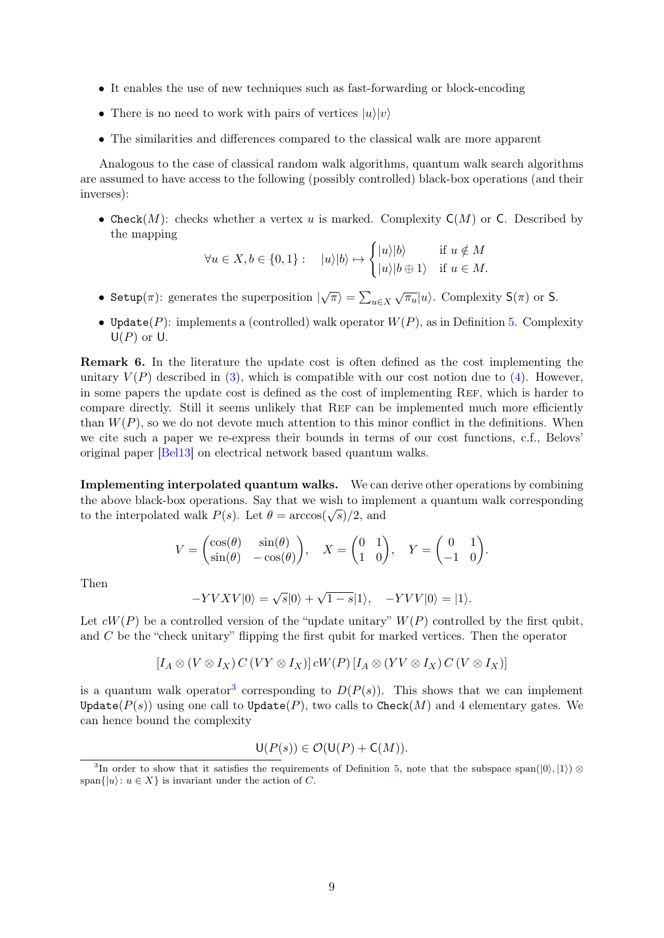- It enables the use of new techniques such as fast-forwarding or block-encoding
- There is no need to work with pairs of vertices  $|u\rangle|v\rangle$
- The similarities and differences compared to the classical walk are more apparent

Analogous to the case of classical random walk algorithms, quantum walk search algorithms are assumed to have access to the following (possibly controlled) black-box operations (and their inverses):

• Check(M): checks whether a vertex u is marked. Complexity  $C(M)$  or C. Described by the mapping

$$
\forall u \in X, b \in \{0, 1\}: \quad |u\rangle |b\rangle \mapsto \begin{cases} |u\rangle |b\rangle & \text{if } u \notin M \\ |u\rangle |b \oplus 1\rangle & \text{if } u \in M. \end{cases}
$$

- Setup( $\pi$ ): generates the superposition  $|\sqrt{\pi}\rangle = \sum_{u \in X}$  $\sqrt{\pi_u}|u\rangle$ . Complexity  $\mathsf{S}(\pi)$  or  $\mathsf{S}$ .
- Update(P): implements a (controlled) walk operator  $W(P)$ , as in Definition [5.](#page-7-1) Complexity  $U(P)$  or U.

Remark 6. In the literature the update cost is often defined as the cost implementing the unitary  $V(P)$  described in [\(3\)](#page-7-2), which is compatible with our cost notion due to [\(4\)](#page-7-3). However, in some papers the update cost is defined as the cost of implementing REF, which is harder to compare directly. Still it seems unlikely that Ref can be implemented much more efficiently than  $W(P)$ , so we do not devote much attention to this minor conflict in the definitions. When we cite such a paper we re-express their bounds in terms of our cost functions, c.f., Belovs' original paper [\[Bel13\]](#page-26-1) on electrical network based quantum walks.

Implementing interpolated quantum walks. We can derive other operations by combining the above black-box operations. Say that we wish to implement a quantum walk corresponding to the interpolated walk  $P(s)$ . Let  $\theta = \arccos(\sqrt{s})/2$ , and

$$
V = \begin{pmatrix} \cos(\theta) & \sin(\theta) \\ \sin(\theta) & -\cos(\theta) \end{pmatrix}, \quad X = \begin{pmatrix} 0 & 1 \\ 1 & 0 \end{pmatrix}, \quad Y = \begin{pmatrix} 0 & 1 \\ -1 & 0 \end{pmatrix}.
$$

Then

$$
-YVXV|0\rangle = \sqrt{s}|0\rangle + \sqrt{1-s}|1\rangle, \quad -YVV|0\rangle = |1\rangle.
$$

Let  $cW(P)$  be a controlled version of the "update unitary"  $W(P)$  controlled by the first qubit, and C be the "check unitary" flipping the first qubit for marked vertices. Then the operator

$$
[I_A \otimes (V \otimes I_X) C (VY \otimes I_X)] cW(P) [I_A \otimes (YV \otimes I_X) C (V \otimes I_X)]
$$

is a quantum walk operator<sup>[3](#page-8-0)</sup> corresponding to  $D(P(s))$ . This shows that we can implement Update( $P(s)$ ) using one call to Update( $P$ ), two calls to Check(M) and 4 elementary gates. We can hence bound the complexity

$$
\mathsf{U}(P(s)) \in \mathcal{O}(\mathsf{U}(P) + \mathsf{C}(M)).
$$

<span id="page-8-0"></span><sup>&</sup>lt;sup>3</sup>In order to show that it satisfies the requirements of Definition [5,](#page-7-1) note that the subspace span $(|0\rangle, |1\rangle) \otimes$ span $\{|u\rangle: u \in X\}$  is invariant under the action of C.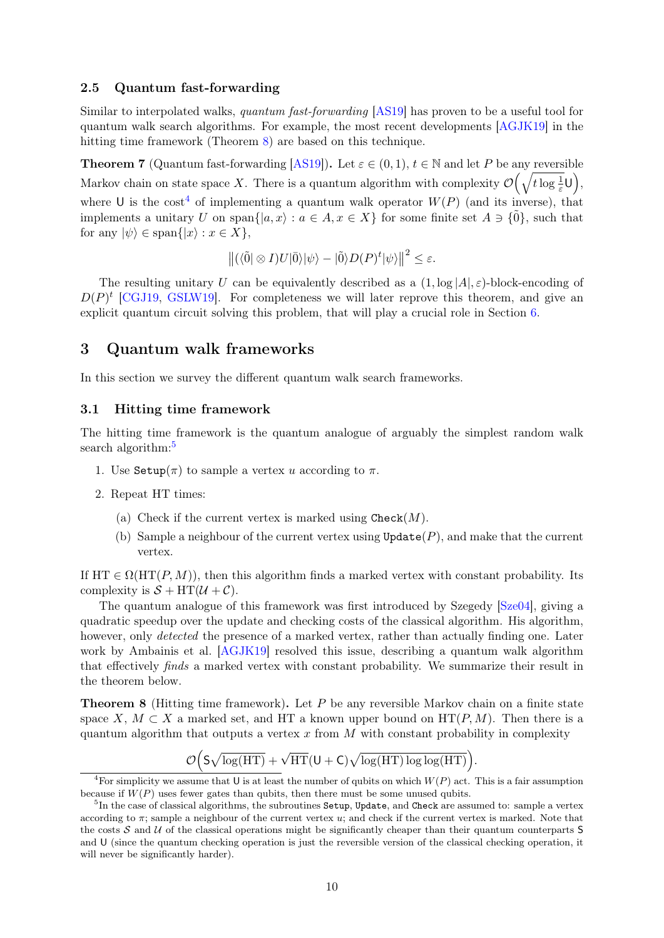### 2.5 Quantum fast-forwarding

Similar to interpolated walks, quantum fast-forwarding [\[AS19\]](#page-26-6) has proven to be a useful tool for quantum walk search algorithms. For example, the most recent developments [\[AGJK19\]](#page-26-2) in the hitting time framework (Theorem [8\)](#page-9-0) are based on this technique.

<span id="page-9-3"></span>**Theorem 7** (Quantum fast-forwarding [\[AS19\]](#page-26-6)). Let  $\varepsilon \in (0,1)$ ,  $t \in \mathbb{N}$  and let P be any reversible Markov chain on state space X. There is a quantum algorithm with complexity  $\mathcal{O}(\sqrt{t \log \frac{1}{\varepsilon}}\mathsf{U}),$ where U is the cost<sup>[4](#page-9-1)</sup> of implementing a quantum walk operator  $W(P)$  (and its inverse), that implements a unitary U on span $\{|a, x\rangle : a \in A, x \in X\}$  for some finite set  $A \ni \{\tilde{0}\}\)$ , such that for any  $|\psi\rangle \in \text{span}\{|x\rangle : x \in X\},\$ 

$$
\left\| \left( \langle \tilde{0} | \otimes I \right) U | \bar{0} \rangle | \psi \rangle - | \tilde{0} \rangle D(P)^{t} | \psi \rangle \right\|^2 \le \varepsilon.
$$

The resulting unitary U can be equivalently described as a  $(1, \log |A|, \varepsilon)$ -block-encoding of  $D(P)^t$  [\[CGJ19,](#page-26-8) [GSLW19\]](#page-27-11). For completeness we will later reprove this theorem, and give an explicit quantum circuit solving this problem, that will play a crucial role in Section [6.](#page-23-0)

# 3 Quantum walk frameworks

In this section we survey the different quantum walk search frameworks.

### 3.1 Hitting time framework

The hitting time framework is the quantum analogue of arguably the simplest random walk search algorithm:<sup>[5](#page-9-2)</sup>

- 1. Use  $\text{Setup}(\pi)$  to sample a vertex u according to  $\pi$ .
- 2. Repeat HT times:
	- (a) Check if the current vertex is marked using  $\text{Check}(M)$ .
	- (b) Sample a neighbour of the current vertex using  $Update(P)$ , and make that the current vertex.

If  $HT \in \Omega(HT(P, M))$ , then this algorithm finds a marked vertex with constant probability. Its complexity is  $S + HT(\mathcal{U} + \mathcal{C})$ .

The quantum analogue of this framework was first introduced by Szegedy [\[Sze04\]](#page-28-0), giving a quadratic speedup over the update and checking costs of the classical algorithm. His algorithm, however, only *detected* the presence of a marked vertex, rather than actually finding one. Later work by Ambainis et al. [\[AGJK19\]](#page-26-2) resolved this issue, describing a quantum walk algorithm that effectively finds a marked vertex with constant probability. We summarize their result in the theorem below.

<span id="page-9-0"></span>Theorem 8 (Hitting time framework). Let P be any reversible Markov chain on a finite state space X,  $M \subset X$  a marked set, and HT a known upper bound on  $HT(P, M)$ . Then there is a quantum algorithm that outputs a vertex  $x$  from  $M$  with constant probability in complexity

$$
\mathcal{O}\Big(S\sqrt{\log (HT)}+\sqrt{HT}(U+C)\sqrt{\log (HT)\log\log (HT)}\Big).
$$

<span id="page-9-1"></span><sup>&</sup>lt;sup>4</sup>For simplicity we assume that U is at least the number of qubits on which  $W(P)$  act. This is a fair assumption because if  $W(P)$  uses fewer gates than qubits, then there must be some unused qubits.

<span id="page-9-2"></span> ${}^{5}\text{In}$  the case of classical algorithms, the subroutines  $\texttt{Setup}, \texttt{Update},$  and  $\texttt{Check}$  are assumed to: sample a vertex according to  $\pi$ ; sample a neighbour of the current vertex u; and check if the current vertex is marked. Note that the costs  $S$  and  $U$  of the classical operations might be significantly cheaper than their quantum counterparts  $S$ and U (since the quantum checking operation is just the reversible version of the classical checking operation, it will never be significantly harder).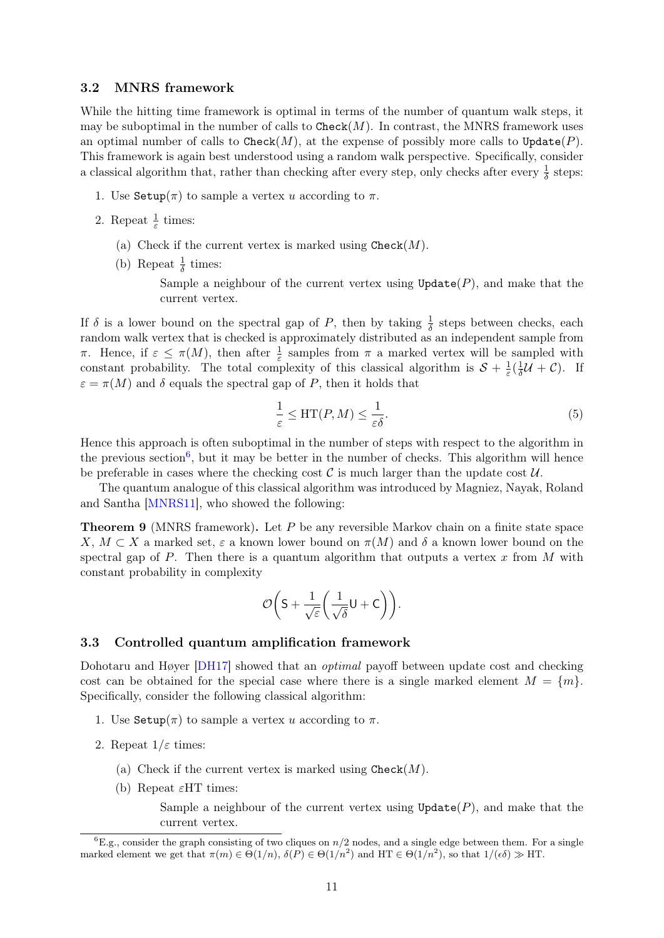### 3.2 MNRS framework

While the hitting time framework is optimal in terms of the number of quantum walk steps, it may be suboptimal in the number of calls to  $\text{Check}(M)$ . In contrast, the MNRS framework uses an optimal number of calls to Check $(M)$ , at the expense of possibly more calls to Update $(P)$ . This framework is again best understood using a random walk perspective. Specifically, consider a classical algorithm that, rather than checking after every step, only checks after every  $\frac{1}{\delta}$  steps:

- 1. Use  $\text{Setup}(\pi)$  to sample a vertex u according to  $\pi$ .
- 2. Repeat  $\frac{1}{\varepsilon}$  times:
	- (a) Check if the current vertex is marked using  $\text{Check}(M)$ .
	- (b) Repeat  $\frac{1}{\delta}$  times:

Sample a neighbour of the current vertex using  $Update(P)$ , and make that the current vertex.

If  $\delta$  is a lower bound on the spectral gap of P, then by taking  $\frac{1}{\delta}$  steps between checks, each random walk vertex that is checked is approximately distributed as an independent sample from π. Hence, if  $\varepsilon \leq \pi(M)$ , then after  $\frac{1}{\varepsilon}$  samples from π a marked vertex will be sampled with constant probability. The total complexity of this classical algorithm is  $S + \frac{1}{\varepsilon}$  $rac{1}{\varepsilon}(\frac{1}{\delta}% -\varepsilon\cdot\hat{\gamma}_{0}\cdot\hat{\gamma}_{0})=-\frac{1}{\varepsilon\cdot\hat{\gamma}_{0}\cdot\hat{\gamma}_{0}\cdot\hat{\gamma}_{0}\cdot\hat{\gamma}_{0}\cdot\hat{\gamma}_{0}\cdot\hat{\gamma}_{0}\cdot\hat{\gamma}_{0}\cdot\hat{\gamma}_{0}\cdot\hat{\gamma}_{0}\cdot\hat{\gamma}_{0}\cdot\hat{\gamma}_{0}\cdot\hat{\gamma}_{0}\cdot\hat{\gamma}_{0}\cdot\hat{\gamma}_{0}\cdot\hat{\gamma}_{0}\cdot\hat{\gamma}_{0}\cdot\hat{\gamma}_{0}\cdot\hat{\gamma}_{0}\cdot\hat{\gamma}_{0}\cdot\hat{\gamma}_{0}\cdot\hat{\gamma}_{0}\cdot\$  $\frac{1}{\delta}$ U + C). If  $\varepsilon = \pi(M)$  and  $\delta$  equals the spectral gap of P, then it holds that

$$
\frac{1}{\varepsilon} \le \text{HT}(P, M) \le \frac{1}{\varepsilon \delta}.\tag{5}
$$

Hence this approach is often suboptimal in the number of steps with respect to the algorithm in the previous section<sup>[6](#page-10-0)</sup>, but it may be better in the number of checks. This algorithm will hence be preferable in cases where the checking cost  $\mathcal C$  is much larger than the update cost  $\mathcal U$ .

The quantum analogue of this classical algorithm was introduced by Magniez, Nayak, Roland and Santha [\[MNRS11\]](#page-27-0), who showed the following:

**Theorem 9** (MNRS framework). Let  $P$  be any reversible Markov chain on a finite state space X,  $M \subset X$  a marked set,  $\varepsilon$  a known lower bound on  $\pi(M)$  and  $\delta$  a known lower bound on the spectral gap of  $P$ . Then there is a quantum algorithm that outputs a vertex  $x$  from  $M$  with constant probability in complexity

$$
\mathcal{O}\bigg(S+\frac{1}{\sqrt{\varepsilon}}\bigg(\frac{1}{\sqrt{\delta}}U+C\bigg)\bigg).
$$

### 3.3 Controlled quantum amplification framework

Dohotaru and Høyer [\[DH17\]](#page-27-2) showed that an *optimal* payoff between update cost and checking cost can be obtained for the special case where there is a single marked element  $M = \{m\}$ . Specifically, consider the following classical algorithm:

- 1. Use  $\text{Setup}(\pi)$  to sample a vertex u according to  $\pi$ .
- 2. Repeat  $1/\varepsilon$  times:
	- (a) Check if the current vertex is marked using  $\text{Check}(M)$ .
	- (b) Repeat  $\varepsilon$ HT times:

Sample a neighbour of the current vertex using  $\texttt{Update}(P)$ , and make that the current vertex.

<span id="page-10-0"></span> ${}^6E.g.,$  consider the graph consisting of two cliques on  $n/2$  nodes, and a single edge between them. For a single marked element we get that  $\pi(m) \in \Theta(1/n)$ ,  $\delta(P) \in \Theta(1/n^2)$  and HT  $\in \Theta(1/n^2)$ , so that  $1/(\epsilon \delta) \gg \text{HT}$ .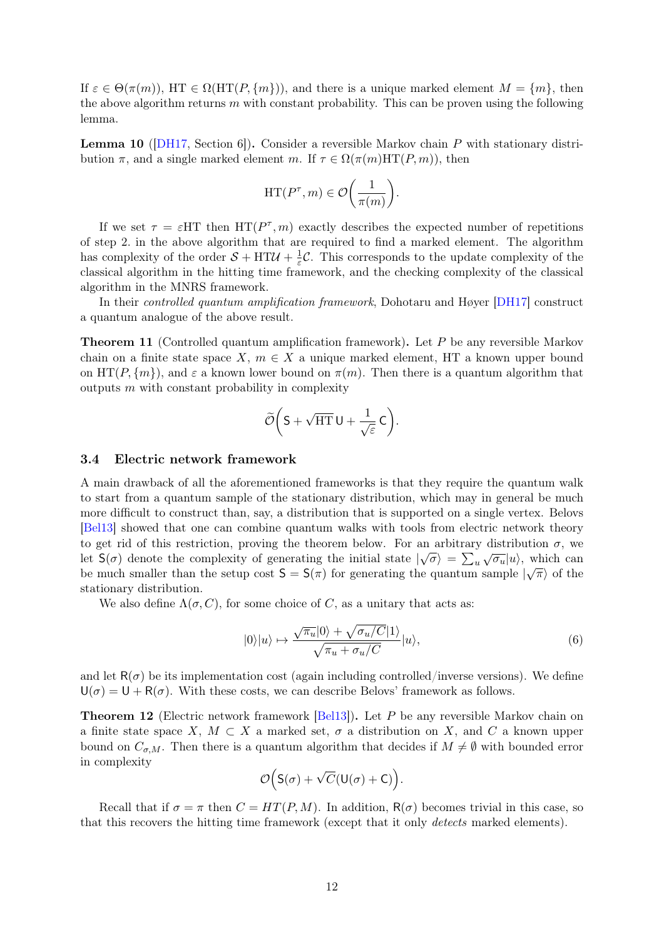If  $\varepsilon \in \Theta(\pi(m))$ , HT  $\in \Omega(\mathrm{HT}(P, \{m\}))$ , and there is a unique marked element  $M = \{m\}$ , then the above algorithm returns  $m$  with constant probability. This can be proven using the following lemma.

<span id="page-11-3"></span>Lemma 10 ([\[DH17,](#page-27-2) Section 6]). Consider a reversible Markov chain P with stationary distribution  $\pi$ , and a single marked element m. If  $\tau \in \Omega(\pi(m)HT(P,m))$ , then

$$
\mathrm{HT}(P^\tau,m)\in \mathcal{O}\bigg(\frac{1}{\pi(m)}\bigg).
$$

If we set  $\tau = \varepsilon H T$  then  $HT(P^{\tau}, m)$  exactly describes the expected number of repetitions of step 2. in the above algorithm that are required to find a marked element. The algorithm has complexity of the order  $S + HTU + \frac{1}{s}$  $\frac{1}{\varepsilon}$ C. This corresponds to the update complexity of the classical algorithm in the hitting time framework, and the checking complexity of the classical algorithm in the MNRS framework.

In their controlled quantum amplification framework, Dohotaru and Høyer [\[DH17\]](#page-27-2) construct a quantum analogue of the above result.

**Theorem 11** (Controlled quantum amplification framework). Let P be any reversible Markov chain on a finite state space  $X, m \in X$  a unique marked element, HT a known upper bound on  $HT(P, \{m\})$ , and  $\varepsilon$  a known lower bound on  $\pi(m)$ . Then there is a quantum algorithm that outputs  $m$  with constant probability in complexity

$$
\widetilde{\mathcal{O}}\bigg(S+\sqrt{\mathrm{HT}}\,U+\frac{1}{\sqrt{\varepsilon}}\,C\bigg).
$$

#### <span id="page-11-1"></span>3.4 Electric network framework

A main drawback of all the aforementioned frameworks is that they require the quantum walk to start from a quantum sample of the stationary distribution, which may in general be much more difficult to construct than, say, a distribution that is supported on a single vertex. Belovs [\[Bel13\]](#page-26-1) showed that one can combine quantum walks with tools from electric network theory to get rid of this restriction, proving the theorem below. For an arbitrary distribution  $\sigma$ , we let  $S(\sigma)$  denote the complexity of generating the initial state  $|\sqrt{\sigma}\rangle = \sum_u$  $\sqrt{\sigma_u} |u\rangle$ , which can be much smaller than the setup cost  $S = S(\pi)$  for generating the quantum sample  $|\sqrt{\pi}\rangle$  of the stationary distribution.

We also define  $\Lambda(\sigma, C)$ , for some choice of C, as a unitary that acts as:

<span id="page-11-2"></span>
$$
|0\rangle|u\rangle \mapsto \frac{\sqrt{\pi_u}|0\rangle + \sqrt{\sigma_u/C}|1\rangle}{\sqrt{\pi_u + \sigma_u/C}}|u\rangle, \tag{6}
$$

and let  $R(\sigma)$  be its implementation cost (again including controlled/inverse versions). We define  $U(\sigma) = U + R(\sigma)$ . With these costs, we can describe Belovs' framework as follows.

<span id="page-11-0"></span>Theorem 12 (Electric network framework [\[Bel13\]](#page-26-1)). Let P be any reversible Markov chain on a finite state space X,  $M \subset X$  a marked set,  $\sigma$  a distribution on X, and C a known upper bound on  $C_{\sigma,M}$ . Then there is a quantum algorithm that decides if  $M \neq \emptyset$  with bounded error in complexity

$$
\mathcal{O}\Big(S(\sigma)+\sqrt{C}(U(\sigma)+C)\Big).
$$

Recall that if  $\sigma = \pi$  then  $C = HT(P, M)$ . In addition,  $R(\sigma)$  becomes trivial in this case, so that this recovers the hitting time framework (except that it only detects marked elements).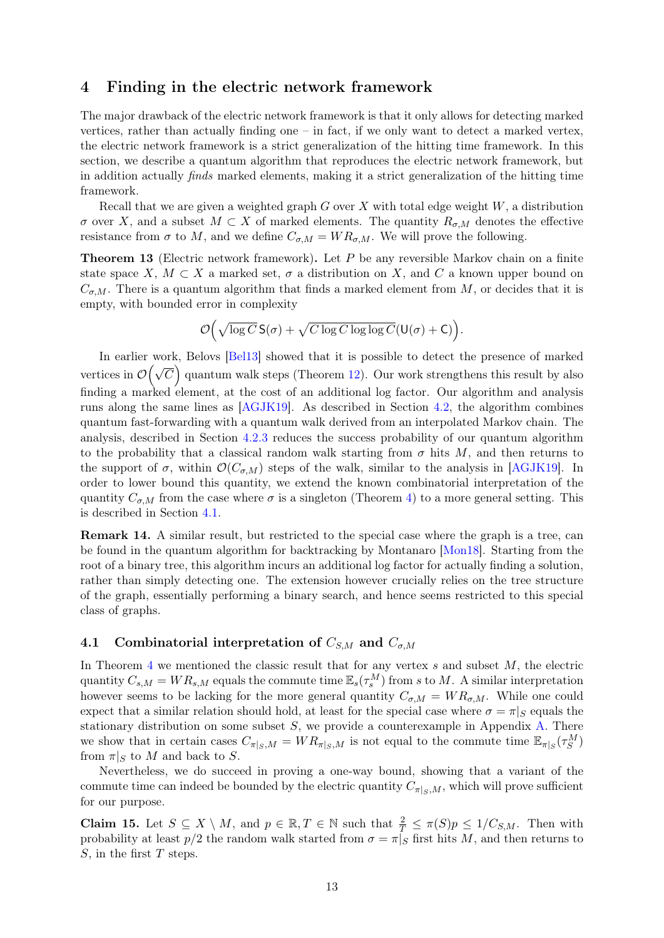## <span id="page-12-0"></span>4 Finding in the electric network framework

The major drawback of the electric network framework is that it only allows for detecting marked vertices, rather than actually finding one – in fact, if we only want to detect a marked vertex, the electric network framework is a strict generalization of the hitting time framework. In this section, we describe a quantum algorithm that reproduces the electric network framework, but in addition actually finds marked elements, making it a strict generalization of the hitting time framework.

Recall that we are given a weighted graph  $G$  over  $X$  with total edge weight  $W$ , a distribution  $\sigma$  over X, and a subset  $M \subset X$  of marked elements. The quantity  $R_{\sigma,M}$  denotes the effective resistance from  $\sigma$  to M, and we define  $C_{\sigma,M} = WR_{\sigma,M}$ . We will prove the following.

<span id="page-12-1"></span>**Theorem 13** (Electric network framework). Let  $P$  be any reversible Markov chain on a finite state space X,  $M \subset X$  a marked set,  $\sigma$  a distribution on X, and C a known upper bound on  $C_{\sigma,M}$ . There is a quantum algorithm that finds a marked element from M, or decides that it is empty, with bounded error in complexity

$$
\mathcal{O}\Big(\sqrt{\log C}\,\mathsf{S}(\sigma) + \sqrt{C\log C\log\log C}(\mathsf{U}(\sigma) + \mathsf{C})\Big).
$$

In earlier work, Belovs [\[Bel13\]](#page-26-1) showed that it is possible to detect the presence of marked vertices in  $\mathcal{O}(\sqrt{C})$  quantum walk steps (Theorem [12\)](#page-11-0). Our work strengthens this result by also finding a marked element, at the cost of an additional log factor. Our algorithm and analysis runs along the same lines as [\[AGJK19\]](#page-26-2). As described in Section [4.2,](#page-13-0) the algorithm combines quantum fast-forwarding with a quantum walk derived from an interpolated Markov chain. The analysis, described in Section [4.2.3](#page-16-0) reduces the success probability of our quantum algorithm to the probability that a classical random walk starting from  $\sigma$  hits M, and then returns to the support of  $\sigma$ , within  $\mathcal{O}(C_{\sigma,M})$  steps of the walk, similar to the analysis in [\[AGJK19\]](#page-26-2). In order to lower bound this quantity, we extend the known combinatorial interpretation of the quantity  $C_{\sigma,M}$  from the case where  $\sigma$  is a singleton (Theorem [4\)](#page-6-2) to a more general setting. This is described in Section [4.1.](#page-12-2)

Remark 14. A similar result, but restricted to the special case where the graph is a tree, can be found in the quantum algorithm for backtracking by Montanaro [\[Mon18\]](#page-27-4). Starting from the root of a binary tree, this algorithm incurs an additional log factor for actually finding a solution, rather than simply detecting one. The extension however crucially relies on the tree structure of the graph, essentially performing a binary search, and hence seems restricted to this special class of graphs.

### <span id="page-12-2"></span>4.1 Combinatorial interpretation of  $C_{SM}$  and  $C_{\sigma,M}$

In Theorem [4](#page-6-2) we mentioned the classic result that for any vertex  $s$  and subset  $M$ , the electric quantity  $C_{s,M} = WR_{s,M}$  equals the commute time  $\mathbb{E}_s(\tau_s^M)$  from s to M. A similar interpretation however seems to be lacking for the more general quantity  $C_{\sigma,M} = WR_{\sigma,M}$ . While one could expect that a similar relation should hold, at least for the special case where  $\sigma = \pi |_{S}$  equals the stationary distribution on some subset  $S$ , we provide a counterexample in Appendix [A.](#page-28-4) There we show that in certain cases  $C_{\pi|_S,M} = WR_{\pi|_S,M}$  is not equal to the commute time  $\mathbb{E}_{\pi|_S}(\tau_S^M)$ from  $\pi|_S$  to M and back to S.

Nevertheless, we do succeed in proving a one-way bound, showing that a variant of the commute time can indeed be bounded by the electric quantity  $C_{\pi|s,M}$ , which will prove sufficient for our purpose.

<span id="page-12-3"></span>**Claim 15.** Let  $S \subseteq X \setminus M$ , and  $p \in \mathbb{R}, T \in \mathbb{N}$  such that  $\frac{2}{T} \leq \pi(S)p \leq 1/C_{S,M}$ . Then with probability at least  $p/2$  the random walk started from  $\sigma = \pi |S|$  first hits M, and then returns to  $S$ , in the first T steps.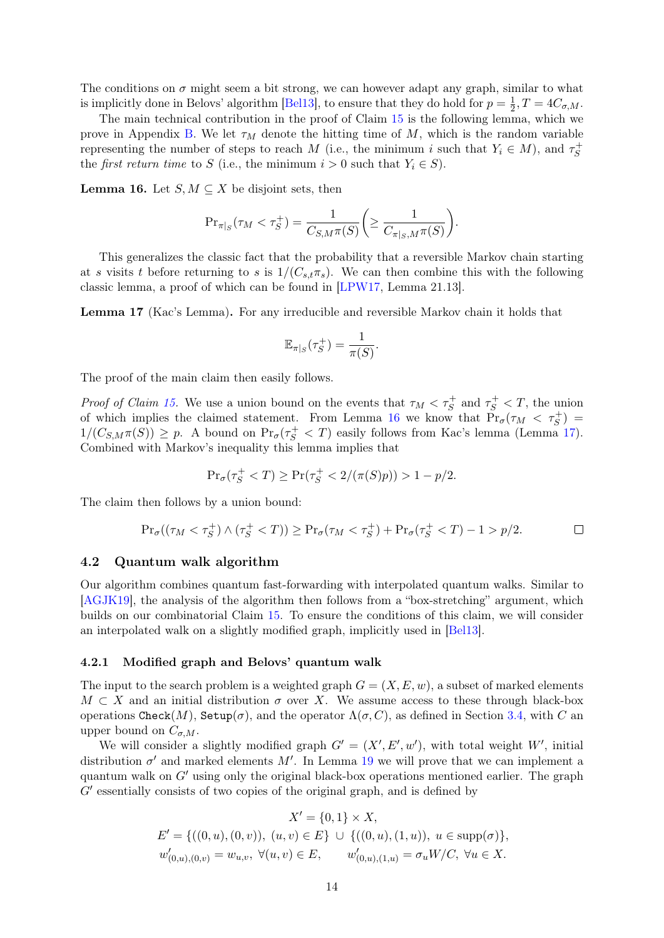The conditions on  $\sigma$  might seem a bit strong, we can however adapt any graph, similar to what is implicitly done in Belovs' algorithm [\[Bel13\]](#page-26-1), to ensure that they do hold for  $p = \frac{1}{2}$  $\frac{1}{2}, T = 4C_{\sigma, M}.$ 

The main technical contribution in the proof of Claim [15](#page-12-3) is the following lemma, which we prove in Appendix [B.](#page-28-3) We let  $\tau_M$  denote the hitting time of M, which is the random variable representing the number of steps to reach M (i.e., the minimum i such that  $Y_i \in M$ ), and  $\tau_S^+$ S the *first return time* to S (i.e., the minimum  $i > 0$  such that  $Y_i \in S$ ).

<span id="page-13-1"></span>**Lemma 16.** Let  $S, M \subseteq X$  be disjoint sets, then

$$
\Pr_{\pi|_S}(\tau_M < \tau_S^+) = \frac{1}{C_{S,M}\pi(S)} \bigg( \ge \frac{1}{C_{\pi|_S,M}\pi(S)} \bigg).
$$

This generalizes the classic fact that the probability that a reversible Markov chain starting at s visits t before returning to s is  $1/(C_{s,t}\pi_s)$ . We can then combine this with the following classic lemma, a proof of which can be found in [\[LPW17,](#page-27-8) Lemma 21.13].

<span id="page-13-2"></span>Lemma 17 (Kac's Lemma). For any irreducible and reversible Markov chain it holds that

$$
\mathbb{E}_{\pi|_S}(\tau_S^+) = \frac{1}{\pi(S)}.
$$

The proof of the main claim then easily follows.

*Proof of Claim [15.](#page-12-3)* We use a union bound on the events that  $\tau_M < \tau_S^+$  and  $\tau_S^+ < T$ , the union of which implies the claimed statement. From Lemma [16](#page-13-1) we know that  $Pr_{\sigma}(\tau_M < \tau_S^+)$  $1/(C_{S,M}\pi(S)) \geq p$ . A bound on  $\Pr_{\sigma}(\tau_S^+ < T)$  easily follows from Kac's lemma (Lemma [17\)](#page-13-2). Combined with Markov's inequality this lemma implies that

$$
\Pr_{\sigma}(\tau_S^+ < T) \ge \Pr(\tau_S^+ < 2/(\pi(S)p)) > 1 - p/2.
$$

The claim then follows by a union bound:

$$
\Pr_{\sigma}((\tau_M < \tau_S^+) \land (\tau_S^+ < T)) \ge \Pr_{\sigma}(\tau_M < \tau_S^+) + \Pr_{\sigma}(\tau_S^+ < T) - 1 > p/2. \Box
$$

#### <span id="page-13-0"></span>4.2 Quantum walk algorithm

Our algorithm combines quantum fast-forwarding with interpolated quantum walks. Similar to [\[AGJK19\]](#page-26-2), the analysis of the algorithm then follows from a "box-stretching" argument, which builds on our combinatorial Claim [15.](#page-12-3) To ensure the conditions of this claim, we will consider an interpolated walk on a slightly modified graph, implicitly used in [\[Bel13\]](#page-26-1).

### <span id="page-13-3"></span>4.2.1 Modified graph and Belovs' quantum walk

The input to the search problem is a weighted graph  $G = (X, E, w)$ , a subset of marked elements  $M \subset X$  and an initial distribution  $\sigma$  over X. We assume access to these through black-box operations Check(M), Setup( $\sigma$ ), and the operator  $\Lambda(\sigma, C)$ , as defined in Section [3.4,](#page-11-1) with C an upper bound on  $C_{\sigma,M}$ .

We will consider a slightly modified graph  $G' = (X', E', w')$ , with total weight W', initial distribution  $\sigma'$  and marked elements M'. In Lemma [19](#page-14-0) we will prove that we can implement a quantum walk on  $G'$  using only the original black-box operations mentioned earlier. The graph  $G'$  essentially consists of two copies of the original graph, and is defined by

$$
X' = \{0, 1\} \times X,
$$
  
\n
$$
E' = \{((0, u), (0, v)), (u, v) \in E\} \cup \{((0, u), (1, u)), u \in \text{supp}(\sigma)\},
$$
  
\n
$$
w'_{(0, u), (0, v)} = w_{u, v}, \forall (u, v) \in E, \qquad w'_{(0, u), (1, u)} = \sigma_u W/C, \forall u \in X.
$$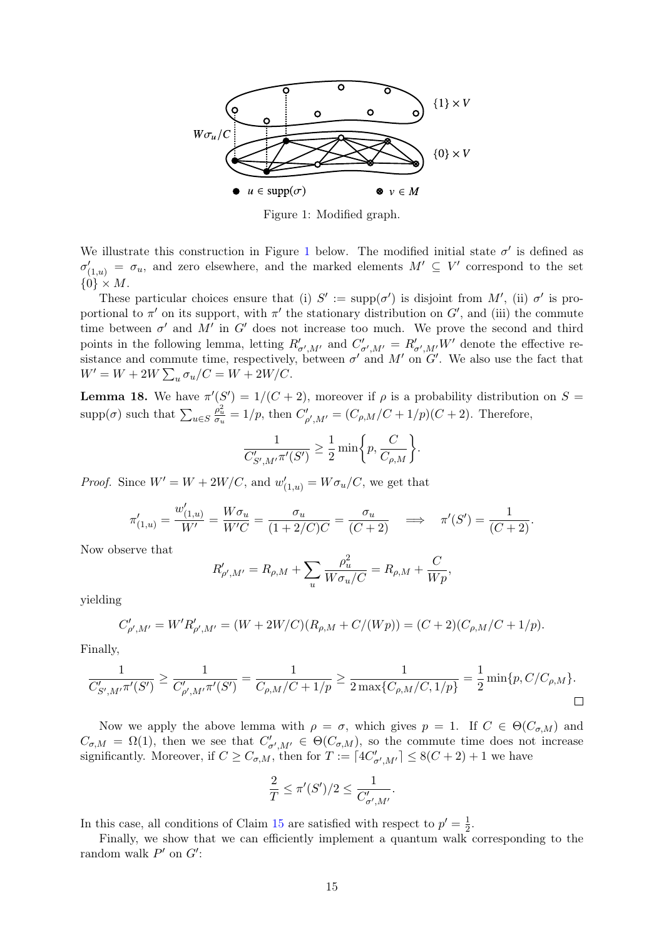<span id="page-14-1"></span>

Figure 1: Modified graph.

We illustrate this construction in Figure [1](#page-14-1) below. The modified initial state  $\sigma'$  is defined as  $\sigma'_{(1,u)} = \sigma_u$ , and zero elsewhere, and the marked elements  $M' \subseteq V'$  correspond to the set  $\{0\} \times M$ .

These particular choices ensure that (i)  $S' := \text{supp}(\sigma')$  is disjoint from M', (ii)  $\sigma'$  is proportional to  $\pi'$  on its support, with  $\pi'$  the stationary distribution on  $G'$ , and (iii) the commute time between  $\sigma'$  and  $M'$  in  $G'$  does not increase too much. We prove the second and third points in the following lemma, letting  $R'_{\sigma',M'}$  and  $C'_{\sigma',M'} = R'_{\sigma',M'}W'$  denote the effective resistance and commute time, respectively, between  $\sigma'$  and  $M'$  on  $G'$ . We also use the fact that  $W' = W + 2W \sum_{u} \sigma_u / C = W + 2W / C.$ 

<span id="page-14-2"></span>**Lemma 18.** We have  $\pi'(S') = 1/(C+2)$ , moreover if  $\rho$  is a probability distribution on  $S =$ supp $(\sigma)$  such that  $\sum_{u \in S}$  $\frac{\rho_u^2}{\sigma_u} = 1/p$ , then  $C'_{\rho',M'} = (C_{\rho,M}/C + 1/p)(C + 2)$ . Therefore,

$$
\frac{1}{C'_{S',M'}\pi'(S')} \ge \frac{1}{2} \min\bigg\{p,\frac{C}{C_{\rho,M}}\bigg\}.
$$

*Proof.* Since  $W' = W + 2W/C$ , and  $w'_{(1,u)} = W \sigma_u/C$ , we get that

$$
\pi'_{(1,u)} = \frac{w'_{(1,u)}}{W'} = \frac{W\sigma_u}{W'C} = \frac{\sigma_u}{(1+2/C)C} = \frac{\sigma_u}{(C+2)} \quad \Longrightarrow \quad \pi'(S') = \frac{1}{(C+2)}.
$$

Now observe that

$$
R'_{\rho',M'} = R_{\rho,M} + \sum_{u} \frac{\rho_u^2}{W \sigma_u/C} = R_{\rho,M} + \frac{C}{Wp},
$$

yielding

$$
C'_{\rho',M'} = W' R'_{\rho',M'} = (W + 2W/C)(R_{\rho,M} + C/(Wp)) = (C+2)(C_{\rho,M}/C + 1/p).
$$

Finally,

$$
\frac{1}{C'_{S',M'} \pi'(S')} \ge \frac{1}{C'_{\rho',M'} \pi'(S')} = \frac{1}{C_{\rho,M}/C+1/p} \ge \frac{1}{2 \max\{C_{\rho,M}/C,1/p\}} = \frac{1}{2} \min\{p,C/C_{\rho,M}\}.
$$

Now we apply the above lemma with  $\rho = \sigma$ , which gives  $p = 1$ . If  $C \in \Theta(C_{\sigma,M})$  and  $C_{\sigma,M} = \Omega(1)$ , then we see that  $C'_{\sigma',M'} \in \Theta(C_{\sigma,M})$ , so the commute time does not increase significantly. Moreover, if  $C \geq C_{\sigma,M}$ , then for  $T := \lceil 4C'_{\sigma',M'} \rceil \leq 8(C+2) + 1$  we have

$$
\frac{2}{T} \le \pi'(S')/2 \le \frac{1}{C'_{\sigma',M'}}.
$$

In this case, all conditions of Claim [15](#page-12-3) are satisfied with respect to  $p' = \frac{1}{2}$  $rac{1}{2}$ .

<span id="page-14-0"></span>Finally, we show that we can efficiently implement a quantum walk corresponding to the random walk  $P'$  on  $G'$ :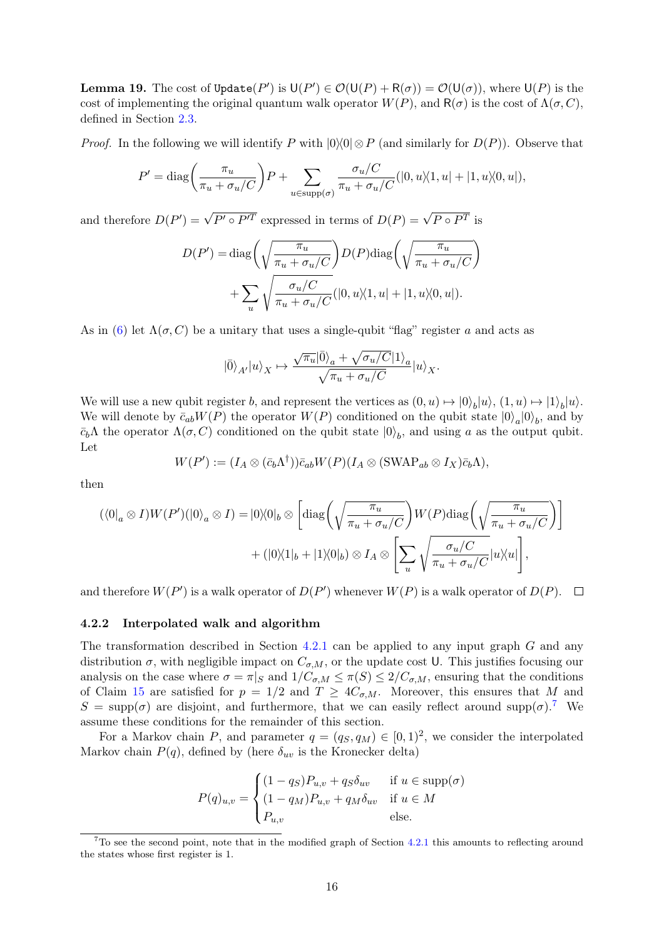**Lemma 19.** The cost of  $\text{Update}(P')$  is  $\mathsf{U}(P') \in \mathcal{O}(\mathsf{U}(P) + \mathsf{R}(\sigma)) = \mathcal{O}(\mathsf{U}(\sigma))$ , where  $\mathsf{U}(P)$  is the cost of implementing the original quantum walk operator  $W(P)$ , and  $R(\sigma)$  is the cost of  $\Lambda(\sigma, C)$ , defined in Section [2.3.](#page-6-0)

*Proof.* In the following we will identify P with  $|0\rangle\langle 0| \otimes P$  (and similarly for  $D(P)$ ). Observe that

$$
P' = \text{diag}\left(\frac{\pi_u}{\pi_u + \sigma_u/C}\right)P + \sum_{u \in \text{supp}(\sigma)} \frac{\sigma_u/C}{\pi_u + \sigma_u/C}(|0, u \rangle \langle 1, u| + |1, u \rangle \langle 0, u|),
$$

and therefore  $D(P') = \sqrt{P' \circ P'^T}$  expressed in terms of  $D(P) = \sqrt{P \circ P^T}$  is

$$
D(P') = \text{diag}\left(\sqrt{\frac{\pi_u}{\pi_u + \sigma_u/C}}\right) D(P) \text{diag}\left(\sqrt{\frac{\pi_u}{\pi_u + \sigma_u/C}}\right) + \sum_u \sqrt{\frac{\sigma_u/C}{\pi_u + \sigma_u/C}} (|0, u \rangle \langle 1, u| + |1, u \rangle \langle 0, u|).
$$

As in [\(6\)](#page-11-2) let  $\Lambda(\sigma, C)$  be a unitary that uses a single-qubit "flag" register a and acts as

$$
|\bar{0}\rangle_{A'} |u\rangle_X \mapsto \frac{\sqrt{\pi_u}|\bar{0}\rangle_a+\sqrt{\sigma_u/C}|1\rangle_a}{\sqrt{\pi_u+\sigma_u/C}}|u\rangle_X.
$$

We will use a new qubit register b, and represent the vertices as  $(0, u) \mapsto |0\rangle_b |u\rangle$ ,  $(1, u) \mapsto |1\rangle_b |u\rangle$ . We will denote by  $\bar{c}_{ab}W(P)$  the operator  $W(P)$  conditioned on the qubit state  $|0\rangle_a|0\rangle_b$ , and by  $\bar{c}_b \Lambda$  the operator  $\Lambda(\sigma, C)$  conditioned on the qubit state  $|0\rangle_b$ , and using a as the output qubit. Let

$$
W(P') := (I_A \otimes (\bar{c}_b \Lambda^{\dagger})) \bar{c}_{ab} W(P) (I_A \otimes (\text{SWAP}_{ab} \otimes I_X) \bar{c}_b \Lambda),
$$

then

$$
(\langle 0|_a \otimes I)W(P')(|0\rangle_a \otimes I) = |0\rangle\langle 0|_b \otimes \left[\text{diag}\left(\sqrt{\frac{\pi_u}{\pi_u + \sigma_u/C}}\right)W(P)\text{diag}\left(\sqrt{\frac{\pi_u}{\pi_u + \sigma_u/C}}\right)\right] + (|0\rangle\langle 1|_b + |1\rangle\langle 0|_b) \otimes I_A \otimes \left[\sum_u \sqrt{\frac{\sigma_u/C}{\pi_u + \sigma_u/C}}|u\rangle\langle u|\right],
$$

and therefore  $W(P')$  is a walk operator of  $D(P')$  whenever  $W(P)$  is a walk operator of  $D(P)$ .

#### 4.2.2 Interpolated walk and algorithm

The transformation described in Section [4.2.1](#page-13-3) can be applied to any input graph G and any distribution  $\sigma$ , with negligible impact on  $C_{\sigma,M}$ , or the update cost U. This justifies focusing our analysis on the case where  $\sigma = \pi|_S$  and  $1/C_{\sigma,M} \leq \pi(S) \leq 2/C_{\sigma,M}$ , ensuring that the conditions of Claim [15](#page-12-3) are satisfied for  $p = 1/2$  and  $T \geq 4C_{\sigma,M}$ . Moreover, this ensures that M and  $S = \text{supp}(\sigma)$  are disjoint, and furthermore, that we can easily reflect around supp $(\sigma)$ .<sup>[7](#page-15-0)</sup> We assume these conditions for the remainder of this section.

For a Markov chain P, and parameter  $q = (q_S, q_M) \in [0, 1)^2$ , we consider the interpolated Markov chain  $P(q)$ , defined by (here  $\delta_{uv}$  is the Kronecker delta)

$$
P(q)_{u,v} = \begin{cases} (1 - q_S)P_{u,v} + q_S \delta_{uv} & \text{if } u \in \text{supp}(\sigma) \\ (1 - q_M)P_{u,v} + q_M \delta_{uv} & \text{if } u \in M \\ P_{u,v} & \text{else.} \end{cases}
$$

<span id="page-15-0"></span> $7T\sigma$  see the second point, note that in the modified graph of Section [4.2.1](#page-13-3) this amounts to reflecting around the states whose first register is 1.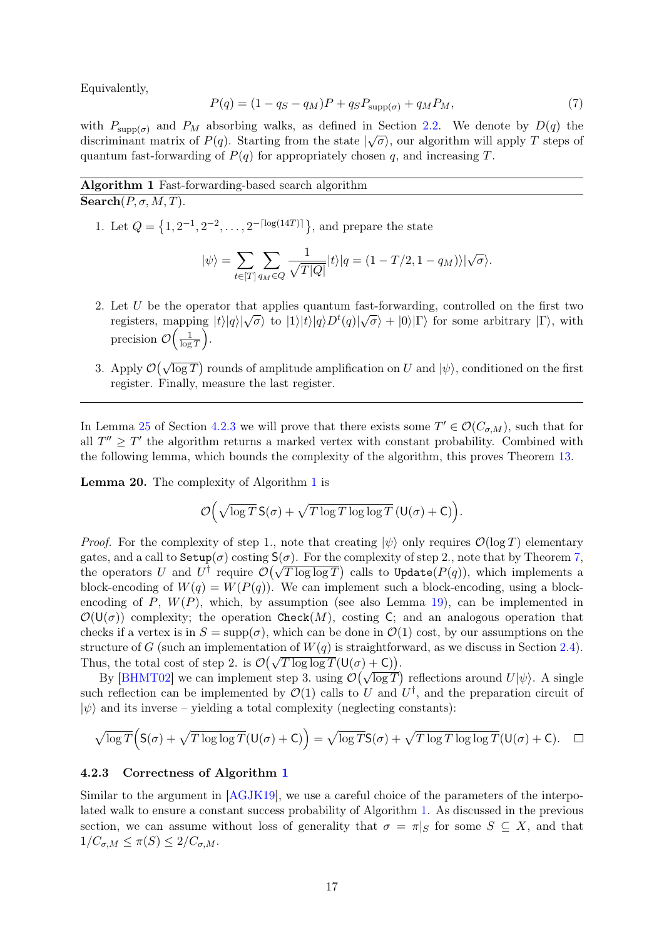Equivalently,

<span id="page-16-4"></span>
$$
P(q) = (1 - q_S - q_M)P + q_S P_{\text{supp}(\sigma)} + q_M P_M,
$$
\n(7)

with  $P_{\text{supp}(\sigma)}$  and  $P_M$  absorbing walks, as defined in Section [2.2.](#page-5-1) We denote by  $D(q)$  the discriminant matrix of  $P(q)$ . Starting from the state  $|\sqrt{\sigma}\rangle$ , our algorithm will apply T steps of quantum fast-forwarding of  $P(q)$  for appropriately chosen q, and increasing T.

### <span id="page-16-1"></span>Algorithm 1 Fast-forwarding-based search algorithm  $\overline{\text{Search}(P, \sigma, M, T)}$ .

1. Let  $Q = \{1, 2^{-1}, 2^{-2}, \ldots, 2^{-\lceil \log(14T) \rceil} \}$ , and prepare the state

$$
|\psi\rangle = \sum_{t \in [T]} \sum_{q_M \in Q} \frac{1}{\sqrt{T|Q|}} |t\rangle |q = (1 - T/2, 1 - q_M)\rangle |\sqrt{\sigma}\rangle.
$$

- <span id="page-16-3"></span>2. Let U be the operator that applies quantum fast-forwarding, controlled on the first two Let  $\hat{U}$  be the operator that applies quantum rast-tot warding, controlled on the first two<br>registers, mapping  $|t\rangle|q\rangle|\sqrt{\sigma}$  to  $|1\rangle|t\rangle|q\rangle D^{t}(q)|\sqrt{\sigma}$  +  $|0\rangle|\Gamma\rangle$  for some arbitrary  $|\Gamma\rangle$ , with precision  $\mathcal{O}\Big(\frac{1}{\log n}\Big)$  $\frac{1}{\log T}$ .
- 3. Apply  $\mathcal{O}(\sqrt{\log T})$  rounds of amplitude amplification on U and  $|\psi\rangle$ , conditioned on the first register. Finally, measure the last register.

In Lemma [25](#page-21-0) of Section [4.2.3](#page-16-0) we will prove that there exists some  $T' \in \mathcal{O}(C_{\sigma,M})$ , such that for all  $T'' \geq T'$  the algorithm returns a marked vertex with constant probability. Combined with the following lemma, which bounds the complexity of the algorithm, this proves Theorem [13.](#page-12-1)

<span id="page-16-2"></span>Lemma 20. The complexity of Algorithm [1](#page-16-1) is

$$
\mathcal{O}\Big(\sqrt{\log T}\,\mathsf{S}(\sigma) + \sqrt{T\log T\log\log T}\,(\mathsf{U}(\sigma) + \mathsf{C})\Big).
$$

*Proof.* For the complexity of step 1., note that creating  $|\psi\rangle$  only requires  $\mathcal{O}(\log T)$  elementary gates, and a call to  $\text{Setup}(\sigma)$  costing  $\mathsf{S}(\sigma)$ . For the complexity of step 2., note that by Theorem [7,](#page-9-3) gates, and a can to setup(*v*) costing  $S(0)$ . For the complexity of step 2., note that by Theorem *i*, the operators U and  $U^{\dagger}$  require  $\mathcal{O}(\sqrt{T \log \log T})$  calls to Update( $P(q)$ ), which implements a block-encoding of  $W(q) = W(P(q))$ . We can implement such a block-encoding, using a blockencoding of P,  $W(P)$ , which, by assumption (see also Lemma [19\)](#page-14-0), can be implemented in  $\mathcal{O}(\mathsf{U}(\sigma))$  complexity; the operation Check(M), costing C; and an analogous operation that checks if a vertex is in  $S = \text{supp}(\sigma)$ , which can be done in  $\mathcal{O}(1)$  cost, by our assumptions on the structure of G (such an implementation of  $W(q)$  is straightforward, as we discuss in Section [2.4\)](#page-7-0). Structure of G (such an implementation of  $W(q)$  is straightform<br>Thus, the total cost of step 2. is  $\mathcal{O}(\sqrt{T \log \log T}(U(\sigma) + C)).$ 

By [\[BHMT02\]](#page-26-9) we can implement step 3. using  $\mathcal{O}(\sqrt{\log T})$  reflections around  $U|\psi\rangle$ . A single such reflection can be implemented by  $\mathcal{O}(1)$  calls to U and  $U^{\dagger}$ , and the preparation circuit of  $|\psi\rangle$  and its inverse – yielding a total complexity (neglecting constants):

$$
\sqrt{\log T}\Big(S(\sigma)+\sqrt{T\log\log T}(U(\sigma)+C)\Big)=\sqrt{\log T}S(\sigma)+\sqrt{T\log T\log\log T}(U(\sigma)+C).\quad \Box
$$

### <span id="page-16-0"></span>4.2.3 Correctness of Algorithm [1](#page-16-1)

Similar to the argument in [\[AGJK19\]](#page-26-2), we use a careful choice of the parameters of the interpolated walk to ensure a constant success probability of Algorithm [1.](#page-16-1) As discussed in the previous section, we can assume without loss of generality that  $\sigma = \pi |_{S}$  for some  $S \subseteq X$ , and that  $1/C_{\sigma,M} \leq \pi(S) \leq 2/C_{\sigma,M}.$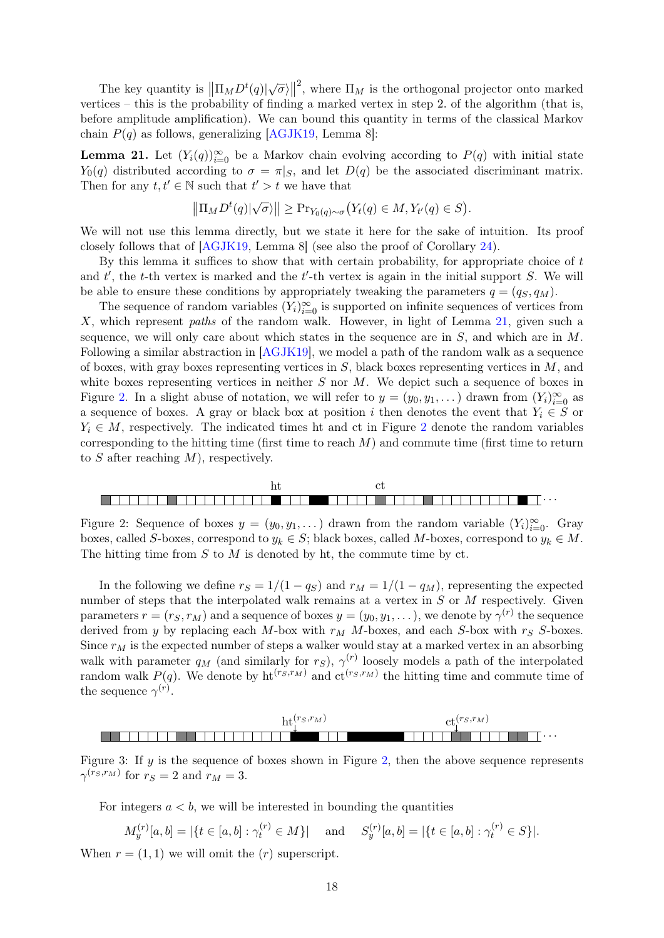The key quantity is  $\left\| \prod_{M} D^{t}(q) \right\| \sqrt{\sigma}$ <sup>2</sup>, where  $\Pi_M$  is the orthogonal projector onto marked vertices – this is the probability of finding a marked vertex in step 2. of the algorithm (that is, before amplitude amplification). We can bound this quantity in terms of the classical Markov chain  $P(q)$  as follows, generalizing [\[AGJK19,](#page-26-2) Lemma 8]:

<span id="page-17-0"></span>**Lemma 21.** Let  $(Y_i(q))_{i=0}^{\infty}$  be a Markov chain evolving according to  $P(q)$  with initial state  $Y_0(q)$  distributed according to  $\sigma = \pi|_S$ , and let  $D(q)$  be the associated discriminant matrix. Then for any  $t, t' \in \mathbb{N}$  such that  $t' > t$  we have that

$$
\left\|\Pi_M D^t(q)|\sqrt{\sigma}\rangle\right\| \geq \Pr_{Y_0(q)\sim\sigma}\big(Y_t(q)\in M, Y_{t'}(q)\in S\big).
$$

We will not use this lemma directly, but we state it here for the sake of intuition. Its proof closely follows that of [\[AGJK19,](#page-26-2) Lemma 8] (see also the proof of Corollary [24\)](#page-20-0).

By this lemma it suffices to show that with certain probability, for appropriate choice of t and  $t'$ , the t-th vertex is marked and the  $t'$ -th vertex is again in the initial support  $S$ . We will be able to ensure these conditions by appropriately tweaking the parameters  $q = (q_S, q_M)$ .

The sequence of random variables  $(Y_i)_{i=0}^{\infty}$  is supported on infinite sequences of vertices from X, which represent paths of the random walk. However, in light of Lemma [21,](#page-17-0) given such a sequence, we will only care about which states in the sequence are in  $S$ , and which are in  $M$ . Following a similar abstraction in [\[AGJK19\]](#page-26-2), we model a path of the random walk as a sequence of boxes, with gray boxes representing vertices in  $S$ , black boxes representing vertices in  $M$ , and white boxes representing vertices in neither  $S$  nor  $M$ . We depict such a sequence of boxes in Figure [2.](#page-17-1) In a slight abuse of notation, we will refer to  $y = (y_0, y_1, \dots)$  drawn from  $(Y_i)_{i=0}^{\infty}$  as a sequence of boxes. A gray or black box at position i then denotes the event that  $Y_i \in S$  or  $Y_i \in M$ , respectively. The indicated times ht and ct in Figure [2](#page-17-1) denote the random variables corresponding to the hitting time (first time to reach  $M$ ) and commute time (first time to return to S after reaching  $M$ ), respectively.

<span id="page-17-1"></span>

Figure 2: Sequence of boxes  $y = (y_0, y_1, \dots)$  drawn from the random variable  $(Y_i)_{i=0}^{\infty}$ . Gray boxes, called S-boxes, correspond to  $y_k \in S$ ; black boxes, called M-boxes, correspond to  $y_k \in M$ . The hitting time from  $S$  to  $M$  is denoted by ht, the commute time by ct.

In the following we define  $r_S = 1/(1 - q_S)$  and  $r_M = 1/(1 - q_M)$ , representing the expected number of steps that the interpolated walk remains at a vertex in  $S$  or  $M$  respectively. Given parameters  $r = (r_S, r_M)$  and a sequence of boxes  $y = (y_0, y_1, \dots)$ , we denote by  $\gamma^{(r)}$  the sequence derived from y by replacing each M-box with  $r_M$  M-boxes, and each S-box with  $r_S$  S-boxes. Since  $r_M$  is the expected number of steps a walker would stay at a marked vertex in an absorbing walk with parameter  $q_M$  (and similarly for  $r_S$ ),  $\gamma^{(r)}$  loosely models a path of the interpolated random walk  $P(q)$ . We denote by  $\text{ht}^{(r_S, r_M)}$  and  $\text{ct}^{(r_S, r_M)}$  the hitting time and commute time of the sequence  $\gamma^{(r)}$ .

![](_page_17_Figure_9.jpeg)

Figure 3: If  $y$  is the sequence of boxes shown in Figure [2,](#page-17-1) then the above sequence represents  $\gamma^{(r_S, r_M)}$  for  $r_S = 2$  and  $r_M = 3$ .

For integers  $a < b$ , we will be interested in bounding the quantities

$$
M_y^{(r)}[a,b] = |\{t \in [a,b] : \gamma_t^{(r)} \in M\}| \quad \text{and} \quad S_y^{(r)}[a,b] = |\{t \in [a,b] : \gamma_t^{(r)} \in S\}|.
$$

<span id="page-17-2"></span>When  $r = (1, 1)$  we will omit the  $(r)$  superscript.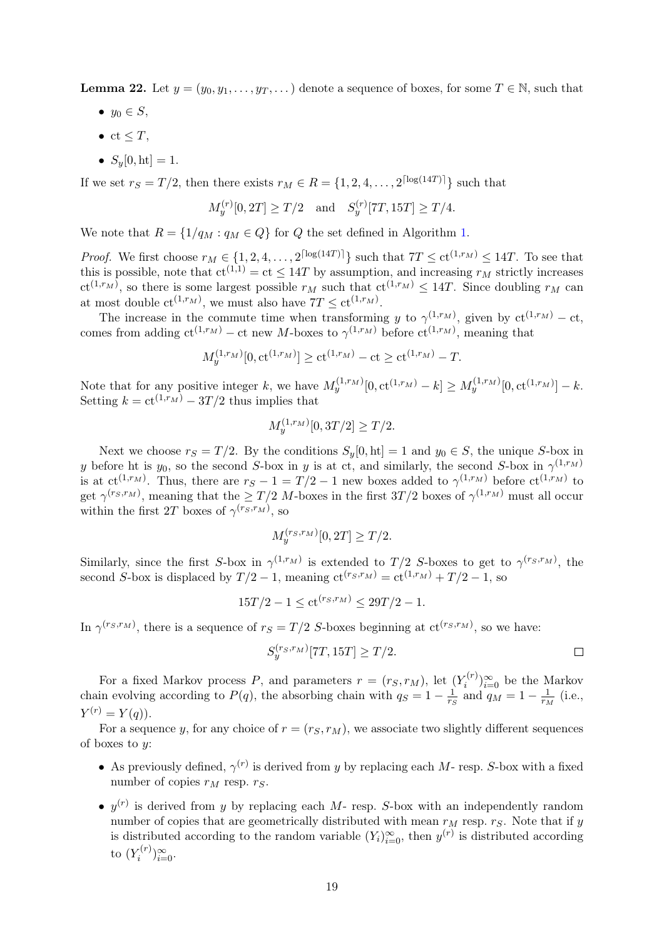**Lemma 22.** Let  $y = (y_0, y_1, \dots, y_T, \dots)$  denote a sequence of boxes, for some  $T \in \mathbb{N}$ , such that

- $y_0 \in S$ ,
- $ct \leq T$ ,
- $S_u[0, \text{ht}] = 1$ .

If we set  $r_S = T/2$ , then there exists  $r_M \in R = \{1, 2, 4, \ldots, 2^{\lceil \log(14T) \rceil} \}$  such that

$$
M_y^{(r)}[0,2T] \ge T/2
$$
 and  $S_y^{(r)}[7T,15T] \ge T/4$ .

We note that  $R = \{1/q_M : q_M \in Q\}$  for Q the set defined in Algorithm [1.](#page-16-1)

*Proof.* We first choose  $r_M \in \{1, 2, 4, ..., 2^{\lceil \log(14T) \rceil} \}$  such that  $7T \leq ct^{(1,r_M)} \leq 14T$ . To see that this is possible, note that  $ct^{(1,1)} = ct \leq 14T$  by assumption, and increasing  $r_M$  strictly increases  $ct^{(1,r_M)}$ , so there is some largest possible  $r_M$  such that  $ct^{(1,r_M)} \leq 14T$ . Since doubling  $r_M$  can at most double  $ct^{(1,r_M)}$ , we must also have  $7T \le ct^{(1,r_M)}$ .

The increase in the commute time when transforming y to  $\gamma^{(1,r_M)}$ , given by  $ct^{(1,r_M)} - ct$ , comes from adding  $ct^{(1,r_M)} - ct$  new M-boxes to  $\gamma^{(1,r_M)}$  before  $ct^{(1,r_M)}$ , meaning that

$$
M_y^{(1,r_M)}[0, \text{ct}^{(1,r_M)}] \ge \text{ct}^{(1,r_M)} - \text{ct} \ge \text{ct}^{(1,r_M)} - T.
$$

Note that for any positive integer k, we have  $M_y^{(1,r_M)}[0,ct^{(1,r_M)}-k] \ge M_y^{(1,r_M)}[0,ct^{(1,r_M)}-k$ . Setting  $k = ct^{(1,r_M)} - 3T/2$  thus implies that

$$
M_y^{(1,r_M)}[0,3T/2] \ge T/2.
$$

Next we choose  $r_S = T/2$ . By the conditions  $S_y[0, \text{ht}] = 1$  and  $y_0 \in S$ , the unique S-box in y before ht is  $y_0$ , so the second S-box in y is at ct, and similarly, the second S-box in  $\gamma^{(1,r_M)}$ is at  $ct^{(1,r_M)}$ . Thus, there are  $r_S - 1 = T/2 - 1$  new boxes added to  $\gamma^{(1,r_M)}$  before  $ct^{(1,r_M)}$  to get  $\gamma^{(r_S,r_M)}$ , meaning that the  $\geq T/2$  *M*-boxes in the first  $3T/2$  boxes of  $\gamma^{(1,r_M)}$  must all occur within the first 2T boxes of  $\gamma^{(r_S, r_M)}$ , so

$$
M_y^{(rs,r_M)}[0,2T] \geq T/2.
$$

Similarly, since the first S-box in  $\gamma^{(1,r_M)}$  is extended to  $T/2$  S-boxes to get to  $\gamma^{(r_S,r_M)}$ , the second S-box is displaced by  $T/2 - 1$ , meaning  $ct^{(r_S,r_M)} = ct^{(1,r_M)} + T/2 - 1$ , so

$$
15T/2 - 1 \le ct^{(r_S, r_M)} \le 29T/2 - 1.
$$

In  $\gamma^{(rs,r_M)}$ , there is a sequence of  $r_S = T/2$  S-boxes beginning at  $ct^{(rs,r_M)}$ , so we have:

$$
S_y^{(rs,r_M)}[7T, 15T] \ge T/2.
$$

For a fixed Markov process P, and parameters  $r = (r_S, r_M)$ , let  $(Y_i^{(r)})$  $\binom{r(r)}{i=0}$  be the Markov chain evolving according to  $P(q)$ , the absorbing chain with  $q_S = 1 - \frac{1}{r_S}$  $\frac{1}{r_S}$  and  $q_M = 1 - \frac{1}{r_M}$  $\frac{1}{r_M}$  (i.e.,  $Y^{(r)} = Y(q)$ .

For a sequence y, for any choice of  $r = (r<sub>S</sub>, r<sub>M</sub>)$ , we associate two slightly different sequences of boxes to  $y$ :

- As previously defined,  $\gamma^{(r)}$  is derived from y by replacing each M- resp. S-box with a fixed number of copies  $r_M$  resp.  $r_S$ .
- $y^{(r)}$  is derived from y by replacing each M- resp. S-box with an independently random number of copies that are geometrically distributed with mean  $r_M$  resp.  $r_S$ . Note that if y is distributed according to the random variable  $(Y_i)_{i=0}^{\infty}$ , then  $y^{(r)}$  is distributed according to  $(Y_i^{(r)}$  $\binom{r}{i}$   $\sum_{i=0}^{\infty}$ .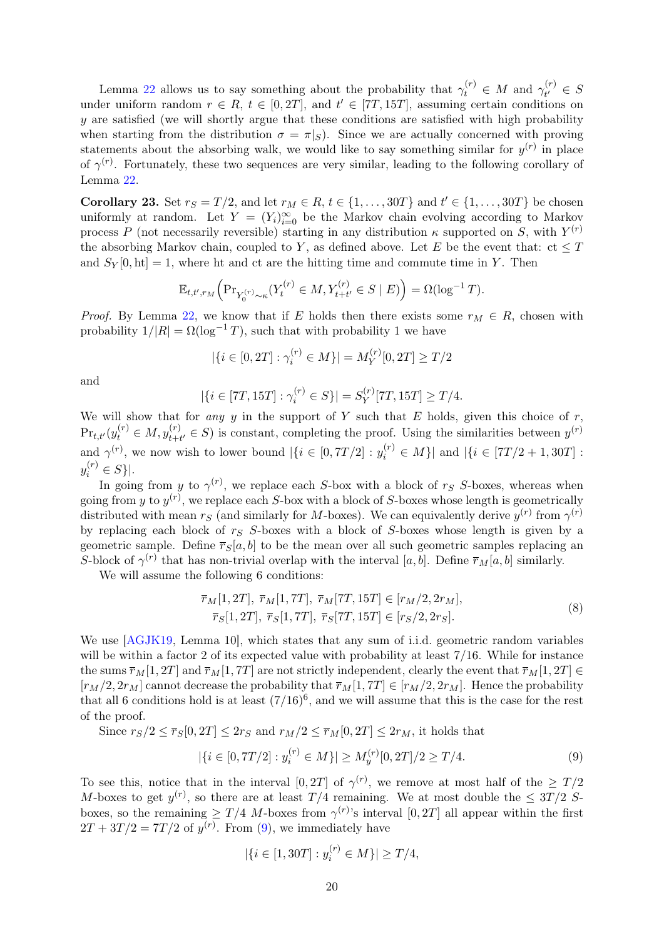Lemma [22](#page-17-2) allows us to say something about the probability that  $\gamma_t^{(r)} \in M$  and  $\gamma_{t'}^{(r)}$  $\zeta_t^{(r)} \in S$ under uniform random  $r \in R$ ,  $t \in [0, 2T]$ , and  $t' \in [7T, 15T]$ , assuming certain conditions on y are satisfied (we will shortly argue that these conditions are satisfied with high probability when starting from the distribution  $\sigma = \pi|_S$ . Since we are actually concerned with proving statements about the absorbing walk, we would like to say something similar for  $y^{(r)}$  in place of  $\gamma^{(r)}$ . Fortunately, these two sequences are very similar, leading to the following corollary of Lemma [22.](#page-17-2)

<span id="page-19-2"></span>**Corollary 23.** Set  $r_S = T/2$ , and let  $r_M \in R$ ,  $t \in \{1, \ldots, 30T\}$  and  $t' \in \{1, \ldots, 30T\}$  be chosen uniformly at random. Let  $Y = (Y_i)_{i=0}^{\infty}$  be the Markov chain evolving according to Markov process P (not necessarily reversible) starting in any distribution  $\kappa$  supported on S, with  $Y^{(r)}$ the absorbing Markov chain, coupled to Y, as defined above. Let E be the event that:  $ct \leq T$ and  $S_V[0, \text{ht}] = 1$ , where ht and ct are the hitting time and commute time in Y. Then

$$
\mathbb{E}_{t,t',r_M} \Big( \Pr_{Y_0^{(r)} \sim \kappa} (Y_t^{(r)} \in M, Y_{t+t'}^{(r)} \in S \mid E) \Big) = \Omega(\log^{-1} T).
$$

*Proof.* By Lemma [22,](#page-17-2) we know that if E holds then there exists some  $r_M \in R$ , chosen with probability  $1/|R| = \Omega(\log^{-1} T)$ , such that with probability 1 we have

$$
|\{i \in [0, 2T] : \gamma_i^{(r)} \in M\}| = M_Y^{(r)}[0, 2T] \ge T/2
$$

and

$$
|\{i \in [7T, 15T] : \gamma_i^{(r)} \in S\}| = S_Y^{(r)}[7T, 15T] \ge T/4.
$$

We will show that for any y in the support of Y such that E holds, given this choice of  $r$ ,  $Pr_{t,t'}(y_t^{(r)} \in M, y_{t+t'}^{(r)} \in S)$  is constant, completing the proof. Using the similarities between  $y^{(r)}$ and  $\gamma^{(r)}$ , we now wish to lower bound  $|\{i \in [0, 7T/2] : y_i^{(r)} \in M\}|$  and  $|\{i \in [7T/2 + 1, 30T] :$  $y_i^{(r)} \in S$  }|.

In going from y to  $\gamma^{(r)}$ , we replace each S-box with a block of rs S-boxes, whereas when going from y to  $y^{(r)}$ , we replace each S-box with a block of S-boxes whose length is geometrically distributed with mean  $r_S$  (and similarly for M-boxes). We can equivalently derive  $y^{(r)}$  from  $\gamma^{(r)}$ by replacing each block of  $r<sub>S</sub>$  S-boxes with a block of S-boxes whose length is given by a geometric sample. Define  $\overline{r}_S[a, b]$  to be the mean over all such geometric samples replacing an S-block of  $\gamma^{(r)}$  that has non-trivial overlap with the interval [a, b]. Define  $\overline{r}_M[a, b]$  similarly.

We will assume the following 6 conditions:

<span id="page-19-1"></span>
$$
\overline{r}_M[1, 2T], \overline{r}_M[1, 7T], \overline{r}_M[7T, 15T] \in [r_M/2, 2r_M],
$$
  
\n
$$
\overline{r}_S[1, 2T], \overline{r}_S[1, 7T], \overline{r}_S[7T, 15T] \in [r_S/2, 2r_S].
$$
\n(8)

We use [\[AGJK19,](#page-26-2) Lemma 10], which states that any sum of i.i.d. geometric random variables will be within a factor 2 of its expected value with probability at least  $7/16$ . While for instance the sums  $\overline{r}_M[1, 2T]$  and  $\overline{r}_M[1, 7T]$  are not strictly independent, clearly the event that  $\overline{r}_M[1, 2T] \in$  $[r_M/2, 2r_M]$  cannot decrease the probability that  $\overline{r}_M[1, 7T] \in [r_M/2, 2r_M]$ . Hence the probability that all 6 conditions hold is at least  $(7/16)^6$ , and we will assume that this is the case for the rest of the proof.

Since  $r_S/2 \leq \overline{r}_S[0, 2T] \leq 2r_S$  and  $r_M/2 \leq \overline{r}_M[0, 2T] \leq 2r_M$ , it holds that

<span id="page-19-0"></span>
$$
|\{i \in [0, 7T/2] : y_i^{(r)} \in M\}| \ge M_y^{(r)}[0, 2T]/2 \ge T/4.
$$
\n(9)

To see this, notice that in the interval  $[0, 2T]$  of  $\gamma^{(r)}$ , we remove at most half of the  $\geq T/2$ M-boxes to get  $y^{(r)}$ , so there are at least  $T/4$  remaining. We at most double the  $\leq 3T/2$  Sboxes, so the remaining  $\geq T/4$  *M*-boxes from  $\gamma^{(r)}$ 's interval [0, 2*T*] all appear within the first  $2T + 3T/2 = 7T/2$  of  $y^{(r)}$ . From [\(9\)](#page-19-0), we immediately have

$$
|\{i \in [1, 30T] : y_i^{(r)} \in M\}| \ge T/4,
$$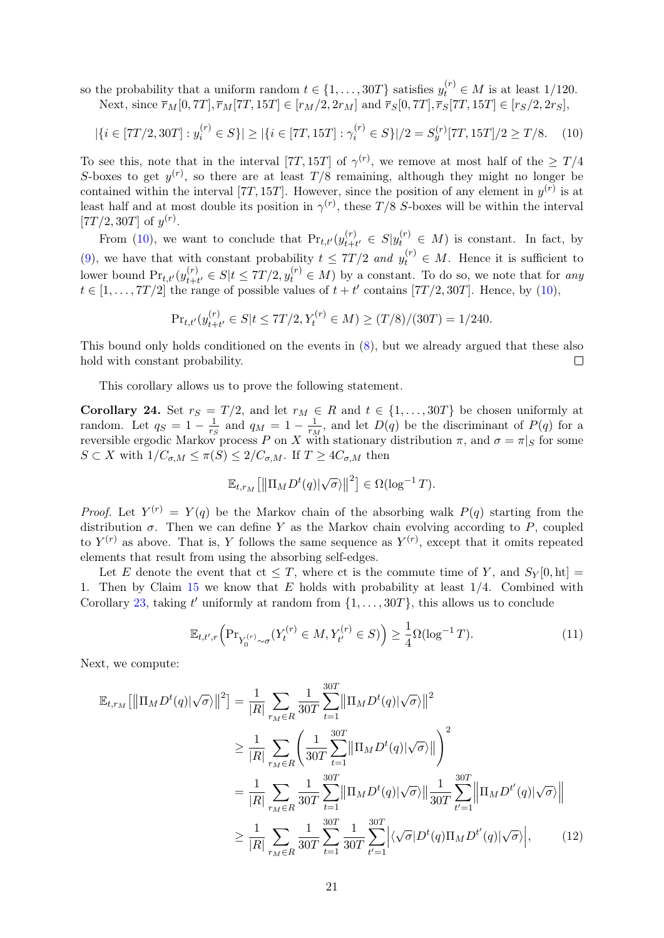so the probability that a uniform random  $t \in \{1, \ldots, 30T\}$  satisfies  $y_t^{(r)} \in M$  is at least 1/120. Next, since  $\bar{r}_M[0, 7T], \bar{r}_M[7T, 15T] \in [r_M/2, 2r_M]$  and  $\bar{r}_S[0, 7T], \bar{r}_S[7T, 15T] \in [r_S/2, 2r_S]$ ,

<span id="page-20-1"></span>
$$
|\{i \in [7T/2, 30T] : y_i^{(r)} \in S\}| \ge |\{i \in [7T, 15T] : \gamma_i^{(r)} \in S\}|/2 = S_y^{(r)}[7T, 15T]/2 \ge T/8. \tag{10}
$$

To see this, note that in the interval [7T, 15T] of  $\gamma^{(r)}$ , we remove at most half of the  $\geq T/4$ S-boxes to get  $y^{(r)}$ , so there are at least  $T/8$  remaining, although they might no longer be contained within the interval [7T, 15T]. However, since the position of any element in  $y^{(r)}$  is at least half and at most double its position in  $\gamma^{(r)}$ , these T/8 S-boxes will be within the interval [7T/2, 30T] of  $y^{(r)}$ .

From [\(10\)](#page-20-1), we want to conclude that  $Pr_{t,t'}(y_{t+i}^{(r)})$  $t(t)$ <sub>t+t'</sub>  $\in S|y_t^{(r)} \in M$ ) is constant. In fact, by [\(9\)](#page-19-0), we have that with constant probability  $t \leq 7T/2$  and  $y_t^{(r)} \in M$ . Hence it is sufficient to lower bound  $Pr_{t,t'}(y_{t+i}^{(r)})$  $t_{t+t'}^{(r)} \in S | t \leq 7T/2, y_t^{(r)} \in M)$  by a constant. To do so, we note that for any  $t \in [1, \ldots, 7T/2]$  the range of possible values of  $t + t'$  contains [7T/2, 30T]. Hence, by [\(10\)](#page-20-1),

$$
\Pr_{t,t'}(y_{t+t'}^{(r)} \in S | t \le 7T/2, Y_t^{(r)} \in M) \ge (T/8)/(30T) = 1/240.
$$

This bound only holds conditioned on the events in [\(8\)](#page-19-1), but we already argued that these also hold with constant probability.  $\Box$ 

This corollary allows us to prove the following statement.

<span id="page-20-0"></span>Corollary 24. Set  $r_S = T/2$ , and let  $r_M \in R$  and  $t \in \{1, ..., 30T\}$  be chosen uniformly at random. Let  $q_S = 1 - \frac{1}{r_S}$  $\frac{1}{r_S}$  and  $q_M = 1 - \frac{1}{r_M}$  $\frac{1}{r_M}$ , and let  $D(q)$  be the discriminant of  $P(q)$  for a reversible ergodic Markov process P on X with stationary distribution  $\pi$ , and  $\sigma = \pi|_S$  for some  $S \subset X$  with  $1/C_{\sigma,M} \leq \pi(S) \leq 2/C_{\sigma,M}$ . If  $T \geq 4C_{\sigma,M}$  then

$$
\mathbb{E}_{t,r_M}\big[\big\|\Pi_M D^t(q)|\sqrt{\sigma}\rangle\big\|^2\big] \in \Omega(\log^{-1}T).
$$

*Proof.* Let  $Y^{(r)} = Y(q)$  be the Markov chain of the absorbing walk  $P(q)$  starting from the distribution  $\sigma$ . Then we can define Y as the Markov chain evolving according to P, coupled to  $Y^{(r)}$  as above. That is, Y follows the same sequence as  $Y^{(r)}$ , except that it omits repeated elements that result from using the absorbing self-edges.

Let E denote the event that  $ct \leq T$ , where ct is the commute time of Y, and  $S_Y[0, \text{ht}] =$ 1. Then by Claim  $15$  we know that E holds with probability at least  $1/4$ . Combined with Corollary [23,](#page-19-2) taking t' uniformly at random from  $\{1, \ldots, 30T\}$ , this allows us to conclude

<span id="page-20-3"></span><span id="page-20-2"></span>
$$
\mathbb{E}_{t,t',r} \Big( \Pr_{Y_0^{(r)} \sim \sigma} (Y_t^{(r)} \in M, Y_{t'}^{(r)} \in S) \Big) \ge \frac{1}{4} \Omega(\log^{-1} T). \tag{11}
$$

Next, we compute:

$$
\mathbb{E}_{t,r_M}[\|\Pi_M D^t(q)|\sqrt{\sigma}\rangle\|^2] = \frac{1}{|R|} \sum_{r_M \in R} \frac{1}{30T} \sum_{t=1}^{30T} \|\Pi_M D^t(q)|\sqrt{\sigma}\rangle\|^2
$$
  
\n
$$
\geq \frac{1}{|R|} \sum_{r_M \in R} \left(\frac{1}{30T} \sum_{t=1}^{30T} \|\Pi_M D^t(q)|\sqrt{\sigma}\rangle\|\right)^2
$$
  
\n
$$
= \frac{1}{|R|} \sum_{r_M \in R} \frac{1}{30T} \sum_{t=1}^{30T} \|\Pi_M D^t(q)|\sqrt{\sigma}\rangle\|\frac{1}{30T} \sum_{t'=1}^{30T} \|\Pi_M D^{t'}(q)|\sqrt{\sigma}\rangle\|
$$
  
\n
$$
\geq \frac{1}{|R|} \sum_{r_M \in R} \frac{1}{30T} \sum_{t=1}^{30T} \frac{1}{30T} \sum_{t'=1}^{30T} |\langle \sqrt{\sigma}| D^t(q) \Pi_M D^{t'}(q)|\sqrt{\sigma}\rangle|,
$$
 (12)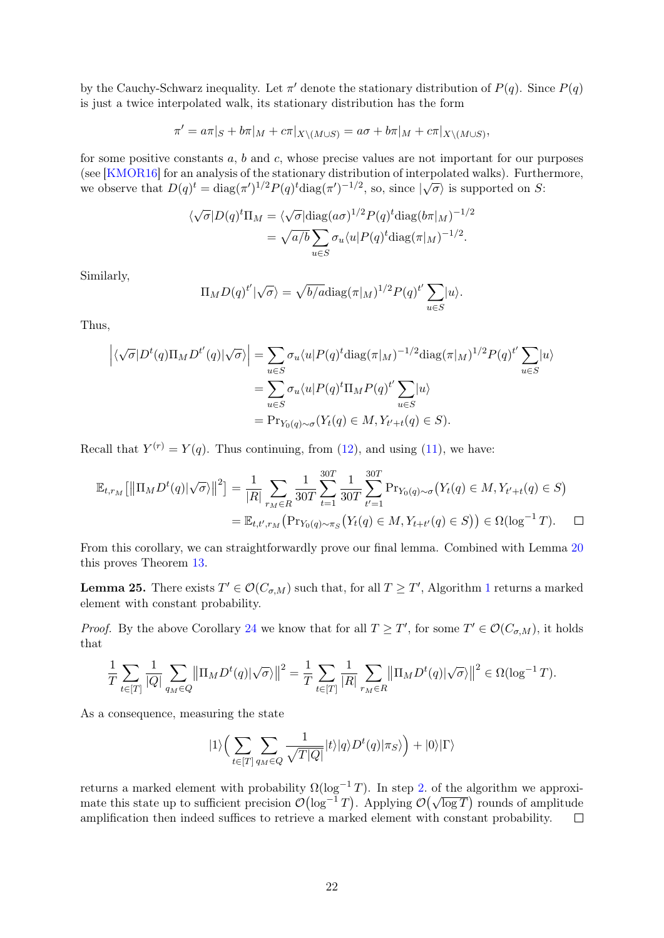by the Cauchy-Schwarz inequality. Let  $\pi'$  denote the stationary distribution of  $P(q)$ . Since  $P(q)$ is just a twice interpolated walk, its stationary distribution has the form

$$
\pi' = a\pi|_S + b\pi|_M + c\pi|_{X\setminus (M\cup S)} = a\sigma + b\pi|_M + c\pi|_{X\setminus (M\cup S)},
$$

for some positive constants  $a, b$  and  $c$ , whose precise values are not important for our purposes (see [\[KMOR16\]](#page-27-1) for an analysis of the stationary distribution of interpolated walks). Furthermore, (see [KMOTITO] for an analysis of the stationary distribution of interpolated wanks). Furthermore, we observe that  $D(q)^t = \text{diag}(\pi')^{1/2} P(q)^t \text{diag}(\pi')^{-1/2}$ , so, since  $|\sqrt{\sigma}\rangle$  is supported on S:

$$
\langle \sqrt{\sigma} | D(q)^t \Pi_M = \langle \sqrt{\sigma} | \text{diag}(a\sigma)^{1/2} P(q)^t \text{diag}(b\pi |_M)^{-1/2} \n= \sqrt{a/b} \sum_{u \in S} \sigma_u \langle u | P(q)^t \text{diag}(\pi |_M)^{-1/2}.
$$

Similarly,

$$
\Pi_M D(q)^{t'} |\sqrt{\sigma}\rangle = \sqrt{b/a} \text{diag}(\pi |_M)^{1/2} P(q)^{t'} \sum_{u \in S} |u\rangle.
$$

Thus,

$$
\left| \langle \sqrt{\sigma} | D^t(q) \Pi_M D^{t'}(q) | \sqrt{\sigma} \rangle \right| = \sum_{u \in S} \sigma_u \langle u | P(q)^t \text{diag}(\pi |_M)^{-1/2} \text{diag}(\pi |_M)^{1/2} P(q)^{t'} \sum_{u \in S} |u \rangle
$$
  
= 
$$
\sum_{u \in S} \sigma_u \langle u | P(q)^t \Pi_M P(q)^{t'} \sum_{u \in S} |u \rangle
$$
  
= 
$$
\Pr_{Y_0(q) \sim \sigma} (Y_t(q) \in M, Y_{t'+t}(q) \in S).
$$

Recall that  $Y^{(r)} = Y(q)$ . Thus continuing, from [\(12\)](#page-20-2), and using [\(11\)](#page-20-3), we have:

$$
\mathbb{E}_{t,r_M} [\|\Pi_M D^t(q)|\sqrt{\sigma}\rangle\|^2] = \frac{1}{|R|} \sum_{r_M \in R} \frac{1}{30T} \sum_{t=1}^{30T} \frac{1}{30T} \sum_{t'=1}^{30T} \Pr_{Y_0(q) \sim \sigma}(Y_t(q) \in M, Y_{t'+t}(q) \in S) \n= \mathbb{E}_{t,t',r_M} (\Pr_{Y_0(q) \sim \pi_S}(Y_t(q) \in M, Y_{t+t'}(q) \in S)) \in \Omega(\log^{-1} T). \quad \Box
$$

From this corollary, we can straightforwardly prove our final lemma. Combined with Lemma [20](#page-16-2) this proves Theorem [13.](#page-12-1)

<span id="page-21-0"></span>**Lemma 25.** There exists  $T' \in \mathcal{O}(C_{\sigma,M})$  such that, for all  $T \geq T'$ , Algorithm [1](#page-16-1) returns a marked element with constant probability.

*Proof.* By the above Corollary [24](#page-20-0) we know that for all  $T \geq T'$ , for some  $T' \in \mathcal{O}(C_{\sigma,M})$ , it holds that

$$
\frac{1}{T} \sum_{t \in [T]} \frac{1}{|Q|} \sum_{q_M \in Q} ||\Pi_M D^t(q)|\sqrt{\sigma}\rangle||^2 = \frac{1}{T} \sum_{t \in [T]} \frac{1}{|R|} \sum_{r_M \in R} ||\Pi_M D^t(q)|\sqrt{\sigma}\rangle||^2 \in \Omega(\log^{-1} T).
$$

As a consequence, measuring the state

$$
|1\rangle \Big(\sum_{t\in[T]}\sum_{q_M\in Q}\frac{1}{\sqrt{T|Q|}}|t\rangle|q\rangle D^t(q)|\pi_S\rangle\Big)+|0\rangle|\Gamma\rangle
$$

returns a marked element with probability  $\Omega(\log^{-1} T)$ . In step [2.](#page-16-3) of the algorithm we approxinet this state up to sufficient precision  $\mathcal{O}(\log^{-1}T)$ . Applying  $\mathcal{O}(\sqrt{\log T})$  rounds of amplitude amplification then indeed suffices to retrieve a marked element with constant probability.  $\Box$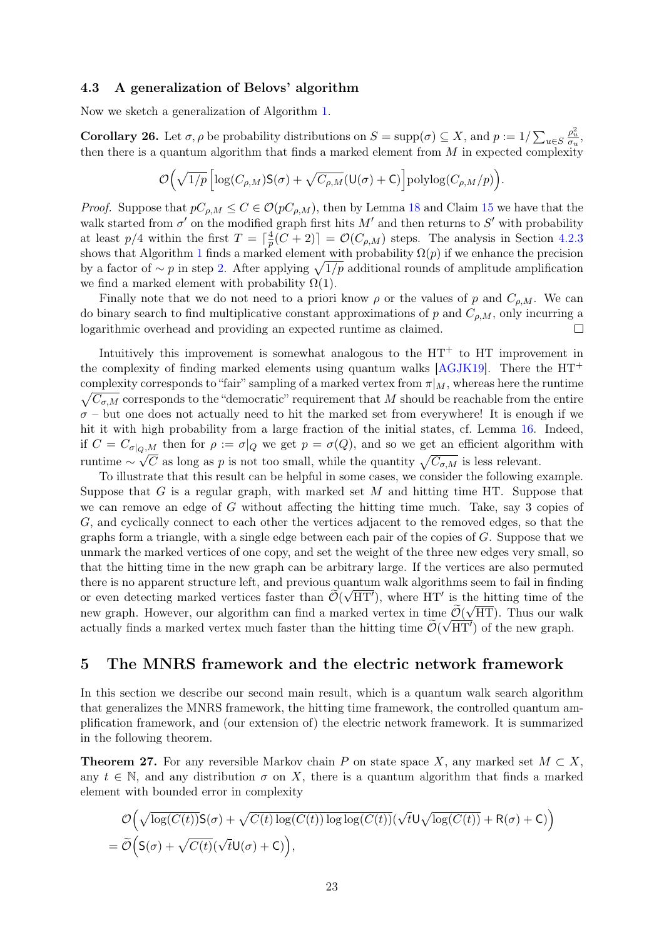### 4.3 A generalization of Belovs' algorithm

Now we sketch a generalization of Algorithm [1.](#page-16-1)

**Corollary 26.** Let  $\sigma, \rho$  be probability distributions on  $S = \text{supp}(\sigma) \subseteq X$ , and  $p := 1/\sum_{u \in S}$  $\frac{\rho_u^2}{\sigma_u},$ then there is a quantum algorithm that finds a marked element from  $M$  in expected complexity

$$
\mathcal{O}\Big(\sqrt{1/p}\left[\log(C_{\rho,M})\mathsf{S}(\sigma)+\sqrt{C_{\rho,M}}(\mathsf{U}(\sigma)+\mathsf{C})\right]\mathrm{polylog}(C_{\rho,M}/p)\Big).
$$

*Proof.* Suppose that  $pC_{\rho,M} \leq C \in \mathcal{O}(pC_{\rho,M})$ , then by Lemma [18](#page-14-2) and Claim [15](#page-12-3) we have that the walk started from  $\sigma'$  on the modified graph first hits M' and then returns to S' with probability at least  $p/4$  within the first  $T = \lceil \frac{4}{n} \rceil$  $\frac{4}{p}(C+2)\rceil = \mathcal{O}(C_{\rho,M})$  steps. The analysis in Section [4.2.3](#page-16-0) shows that Algorithm [1](#page-16-1) finds a marked element with probability  $\Omega(p)$  if we enhance the precision by a factor of  $\sim p$  in step [2.](#page-16-3) After applying  $\sqrt{1/p}$  additional rounds of amplitude amplification we find a marked element with probability  $\Omega(1)$ .

Finally note that we do not need to a priori know  $\rho$  or the values of p and  $C_{\rho,M}$ . We can do binary search to find multiplicative constant approximations of p and  $C_{\rho,M}$ , only incurring a logarithmic overhead and providing an expected runtime as claimed.  $\Box$ 

Intuitively this improvement is somewhat analogous to the  $HT^+$  to  $HT^-$  improvement in the complexity of finding marked elements using quantum walks [\[AGJK19\]](#page-26-2). There the  $HT^+$ complexity corresponds to "fair" sampling of a marked vertex from  $\pi|_M$ , whereas here the runtime  $\sqrt{C_{\sigma,M}}$  corresponds to the "democratic" requirement that M should be reachable from the entire  $\sigma$  – but one does not actually need to hit the marked set from everywhere! It is enough if we hit it with high probability from a large fraction of the initial states, cf. Lemma [16.](#page-13-1) Indeed, if  $C = C_{\sigma|_{Q,M}}$  then for  $\rho := \sigma|_{Q}$  we get  $p = \sigma(Q)$ , and so we get an efficient algorithm with runtime  $\sim \sqrt{C}$  as long as p is not too small, while the quantity  $\sqrt{C_{\sigma,M}}$  is less relevant.

To illustrate that this result can be helpful in some cases, we consider the following example. Suppose that G is a regular graph, with marked set  $M$  and hitting time HT. Suppose that we can remove an edge of G without affecting the hitting time much. Take, say 3 copies of G, and cyclically connect to each other the vertices adjacent to the removed edges, so that the graphs form a triangle, with a single edge between each pair of the copies of  $G$ . Suppose that we unmark the marked vertices of one copy, and set the weight of the three new edges very small, so that the hitting time in the new graph can be arbitrary large. If the vertices are also permuted there is no apparent structure left, and previous quantum walk algorithms seem to fail in finding or even detecting marked vertices faster than  $\widetilde{\mathcal{O}}(\sqrt{\mathrm{HT}'})$ , where HT' is the hitting time of the new graph. However, our algorithm can find a marked vertex in time  $\mathcal{O}(\sqrt{HT})$ . Thus our walk actually finds a marked vertex much faster than the hitting time  $\widetilde{\mathcal{O}}(\sqrt{\mathrm{HT}'})$  of the new graph.

### <span id="page-22-0"></span>5 The MNRS framework and the electric network framework

In this section we describe our second main result, which is a quantum walk search algorithm that generalizes the MNRS framework, the hitting time framework, the controlled quantum amplification framework, and (our extension of) the electric network framework. It is summarized in the following theorem.

<span id="page-22-1"></span>**Theorem 27.** For any reversible Markov chain P on state space X, any marked set  $M \subset X$ , any  $t \in \mathbb{N}$ , and any distribution  $\sigma$  on X, there is a quantum algorithm that finds a marked element with bounded error in complexity

$$
\mathcal{O}\Big(\sqrt{\log(C(t))}S(\sigma)+\sqrt{C(t)\log(C(t))}\log\log(C(t))(\sqrt{t}U\sqrt{\log(C(t))}+R(\sigma)+C)\Big)
$$
  
=  $\widetilde{\mathcal{O}}\Big(S(\sigma)+\sqrt{C(t)}(\sqrt{t}U(\sigma)+C)\Big),$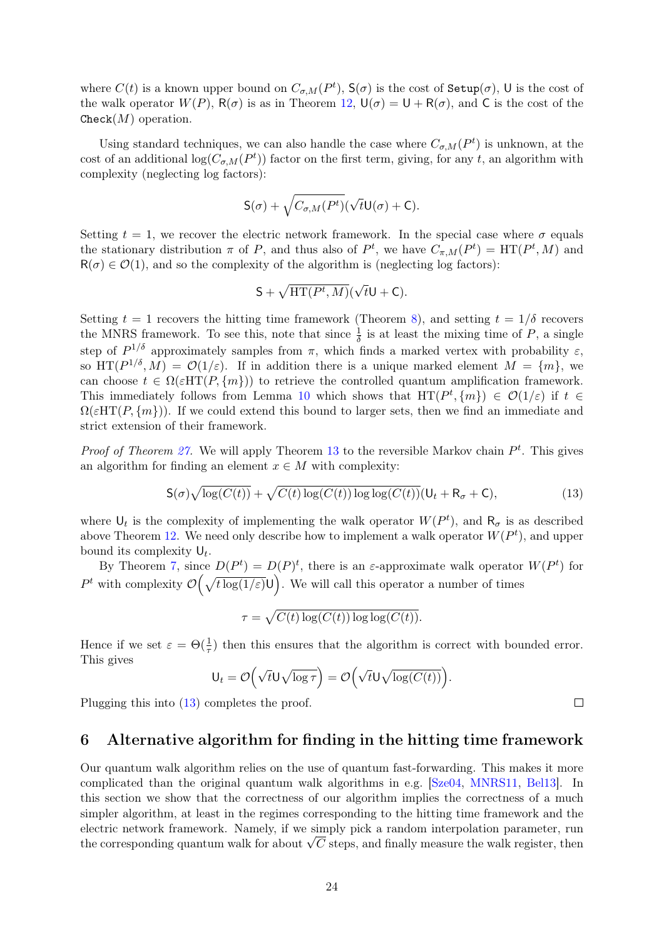where  $C(t)$  is a known upper bound on  $C_{\sigma,M}(P^t)$ ,  $S(\sigma)$  is the cost of  $\text{Setup}(\sigma)$ , U is the cost of the walk operator  $W(P)$ ,  $R(\sigma)$  is as in Theorem [12,](#page-11-0)  $U(\sigma) = U + R(\sigma)$ , and C is the cost of the  $Check(M)$  operation.

Using standard techniques, we can also handle the case where  $C_{\sigma,M}(P^t)$  is unknown, at the cost of an additional  $log(C_{\sigma,M}(P^t))$  factor on the first term, giving, for any t, an algorithm with complexity (neglecting log factors):

$$
\mathsf{S}(\sigma)+\sqrt{C_{\sigma,M}(P^t)}(\sqrt{t}\mathsf{U}(\sigma)+\mathsf{C}).
$$

Setting  $t = 1$ , we recover the electric network framework. In the special case where  $\sigma$  equals the stationary distribution  $\pi$  of P, and thus also of  $P^t$ , we have  $C_{\pi,M}(P^t) = \text{HT}(P^t, M)$  and  $R(\sigma) \in \mathcal{O}(1)$ , and so the complexity of the algorithm is (neglecting log factors):

$$
S + \sqrt{HT(P^t, M)}(\sqrt{t}U + C).
$$

Setting  $t = 1$  recovers the hitting time framework (Theorem [8\)](#page-9-0), and setting  $t = 1/\delta$  recovers the MNRS framework. To see this, note that since  $\frac{1}{\delta}$  is at least the mixing time of P, a single step of  $P^{1/\delta}$  approximately samples from  $\pi$ , which finds a marked vertex with probability  $\varepsilon$ , so  $HT(P^{1/\delta}, M) = \mathcal{O}(1/\varepsilon)$ . If in addition there is a unique marked element  $M = \{m\}$ , we can choose  $t \in \Omega(\varepsilon HT(P, \{m\}))$  to retrieve the controlled quantum amplification framework. This immediately follows from Lemma [10](#page-11-3) which shows that  $HT(P^t, \{m\}) \in \mathcal{O}(1/\varepsilon)$  if  $t \in$  $\Omega(\varepsilon HT(P, \{m\}))$ . If we could extend this bound to larger sets, then we find an immediate and strict extension of their framework.

*Proof of Theorem [27.](#page-22-1)* We will apply Theorem [13](#page-12-1) to the reversible Markov chain  $P<sup>t</sup>$ . This gives an algorithm for finding an element  $x \in M$  with complexity:

$$
\mathsf{S}(\sigma)\sqrt{\log(C(t))} + \sqrt{C(t)\log(C(t))\log\log(C(t))}(\mathsf{U}_t + \mathsf{R}_\sigma + \mathsf{C}),\tag{13}
$$

where  $\mathsf{U}_t$  is the complexity of implementing the walk operator  $W(P^t)$ , and  $\mathsf{R}_{\sigma}$  is as described above Theorem [12.](#page-11-0) We need only describe how to implement a walk operator  $W(P^t)$ , and upper bound its complexity  $\mathsf{U}_t$ .

By Theorem [7,](#page-9-3) since  $D(P^t) = D(P)^t$ , there is an  $\varepsilon$ -approximate walk operator  $W(P^t)$  for P<sup>t</sup> with complexity  $\mathcal{O}(\sqrt{t \log(1/\varepsilon)})$ . We will call this operator a number of times

 $\tau = \sqrt{C(t) \log(C(t)) \log \log(C(t))}.$ 

Hence if we set  $\varepsilon = \Theta(\frac{1}{\tau})$  then this ensures that the algorithm is correct with bounded error. This gives

$$
\mathsf{U}_t = \mathcal{O}\Big(\sqrt{t}\mathsf{U}\sqrt{\log \tau}\Big) = \mathcal{O}\Big(\sqrt{t}\mathsf{U}\sqrt{\log(C(t))}\Big).
$$

Plugging this into [\(13\)](#page-23-1) completes the proof.

# <span id="page-23-0"></span>6 Alternative algorithm for finding in the hitting time framework

Our quantum walk algorithm relies on the use of quantum fast-forwarding. This makes it more complicated than the original quantum walk algorithms in e.g. [\[Sze04,](#page-28-0) [MNRS11,](#page-27-0) [Bel13\]](#page-26-1). In this section we show that the correctness of our algorithm implies the correctness of a much simpler algorithm, at least in the regimes corresponding to the hitting time framework and the electric network framework. Namely, if we simply pick a random interpolation parameter, run electric network framework. Namely, if we simply pick a random interpolation parameter, run<br>the corresponding quantum walk for about  $\sqrt{C}$  steps, and finally measure the walk register, then

<span id="page-23-1"></span> $\Box$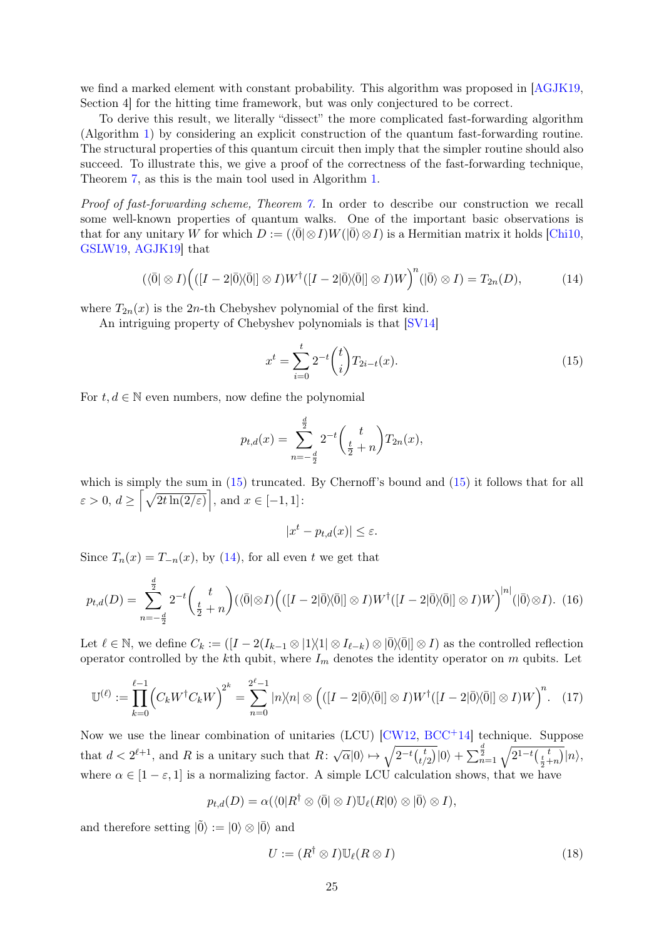we find a marked element with constant probability. This algorithm was proposed in [\[AGJK19,](#page-26-2) Section 4] for the hitting time framework, but was only conjectured to be correct.

To derive this result, we literally "dissect" the more complicated fast-forwarding algorithm (Algorithm [1\)](#page-16-1) by considering an explicit construction of the quantum fast-forwarding routine. The structural properties of this quantum circuit then imply that the simpler routine should also succeed. To illustrate this, we give a proof of the correctness of the fast-forwarding technique, Theorem [7,](#page-9-3) as this is the main tool used in Algorithm [1.](#page-16-1)

Proof of fast-forwarding scheme, Theorem [7.](#page-9-3) In order to describe our construction we recall some well-known properties of quantum walks. One of the important basic observations is that for any unitary W for which  $D := (\langle \overline{0} | \otimes I)W(|\overline{0}\rangle \otimes I)$  is a Hermitian matrix it holds [\[Chi10,](#page-27-12) [GSLW19,](#page-27-11) [AGJK19\]](#page-26-2) that

<span id="page-24-1"></span>
$$
(\langle \bar{0} | \otimes I) \Big( ([I - 2 | \bar{0} \rangle \langle \bar{0} |] \otimes I) W^{\dagger} ([I - 2 | \bar{0} \rangle \langle \bar{0} |] \otimes I) W \Big)^{n} (|\bar{0} \rangle \otimes I) = T_{2n}(D), \tag{14}
$$

where  $T_{2n}(x)$  is the 2n-th Chebyshev polynomial of the first kind.

An intriguing property of Chebyshev polynomials is that [\[SV14\]](#page-28-5)

<span id="page-24-0"></span>
$$
x^{t} = \sum_{i=0}^{t} 2^{-t} {t \choose i} T_{2i-t}(x).
$$
\n(15)

For  $t, d \in \mathbb{N}$  even numbers, now define the polynomial

$$
p_{t,d}(x) = \sum_{n=-\frac{d}{2}}^{\frac{d}{2}} 2^{-t} \binom{t}{\frac{t}{2}+n} T_{2n}(x),
$$

which is simply the sum in  $(15)$  truncated. By Chernoff's bound and  $(15)$  it follows that for all  $\varepsilon > 0, d \geq \left[ \sqrt{2t \ln(2/\varepsilon)} \right], \text{ and } x \in [-1, 1]:$ 

$$
|x^t - p_{t,d}(x)| \le \varepsilon.
$$

Since  $T_n(x) = T_{-n}(x)$ , by [\(14\)](#page-24-1), for all even t we get that

$$
p_{t,d}(D) = \sum_{n=-\frac{d}{2}}^{\frac{d}{2}} 2^{-t} \binom{t}{\frac{t}{2}+n} (\langle \overline{0} | \otimes I) \Big( ([I-2]\overline{0}] \langle \overline{0} |] \otimes I) W^{\dagger} ([I-2]\overline{0}] \langle \overline{0} |] \otimes I) W \Big)^{|n|} (|\overline{0} \rangle \otimes I). \tag{16}
$$

Let  $\ell \in \mathbb{N}$ , we define  $C_k := (I - 2(I_{k-1} \otimes |1\rangle\langle 1| \otimes I_{\ell-k}) \otimes |0\rangle\langle 0|] \otimes I)$  as the controlled reflection operator controlled by the kth qubit, where  $I_m$  denotes the identity operator on m qubits. Let

<span id="page-24-2"></span>
$$
\mathbb{U}^{(\ell)} := \prod_{k=0}^{\ell-1} \left( C_k W^\dagger C_k W \right)^{2^k} = \sum_{n=0}^{2^{\ell}-1} |n\rangle\langle n| \otimes \left( ([I-2]\overline{0}]\langle \overline{0}|| \otimes I) W^\dagger ([I-2]\overline{0}]\langle \overline{0}|| \otimes I) W \right)^n. \tag{17}
$$

Now we use the linear combination of unitaries (LCU) [\[CW12,](#page-27-13) [BCC](#page-26-10)+14] technique. Suppose that  $d < 2^{\ell+1}$ , and R is a unitary such that  $R: \sqrt{\alpha}|0\rangle \mapsto \sqrt{2^{-t} {t \choose t}}$  $\frac{t}{(t/2)}|0\rangle + \sum_{n=1}^{\frac{d}{2}} \sqrt{2^{1-t}(\frac{t}{\frac{t}{2}+n})}|n\rangle,$ where  $\alpha \in [1-\varepsilon, 1]$  is a normalizing factor. A simple LCU calculation shows, that we have

$$
p_{t,d}(D) = \alpha(\langle 0|R^{\dagger} \otimes \langle 0| \otimes I)\mathbb{U}_{\ell}(R|0\rangle \otimes |\overline{0}\rangle \otimes I),
$$

and therefore setting  $|\tilde{0}\rangle := |0\rangle \otimes |\bar{0}\rangle$  and

<span id="page-24-3"></span>
$$
U := (R^{\dagger} \otimes I) \mathbb{U}_{\ell}(R \otimes I) \tag{18}
$$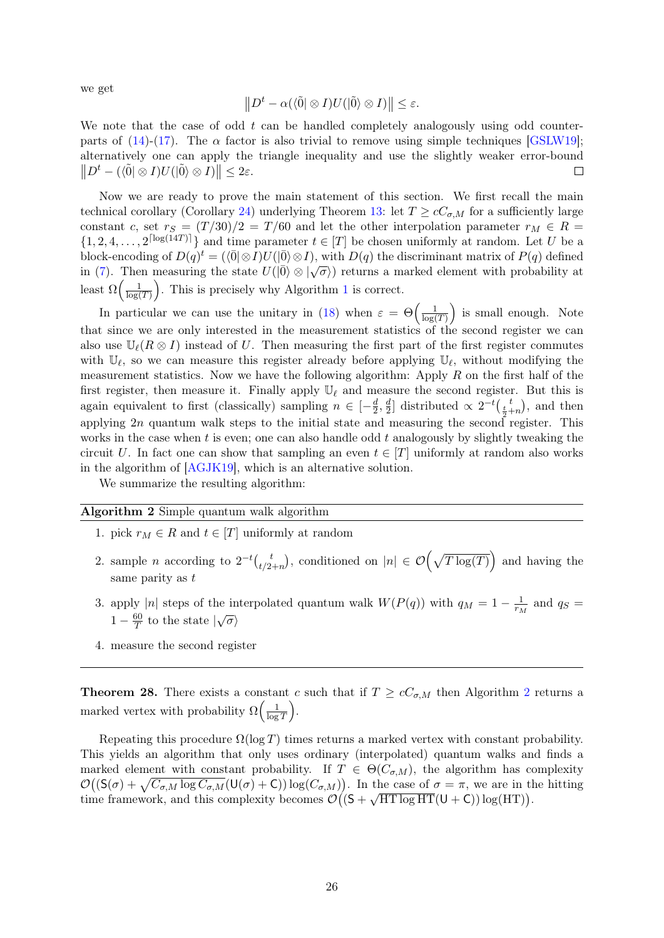we get

$$
||D^t - \alpha(\langle \tilde{0} | \otimes I)U(|\tilde{0}\rangle \otimes I)|| \leq \varepsilon.
$$

We note that the case of odd  $t$  can be handled completely analogously using odd counter-parts of [\(14\)](#page-24-1)-[\(17\)](#page-24-2). The  $\alpha$  factor is also trivial to remove using simple techniques [\[GSLW19\]](#page-27-11); alternatively one can apply the triangle inequality and use the slightly weaker error-bound  $||D^t - (\langle \tilde{0} | \otimes I)U(|\tilde{0}\rangle \otimes I)|| \leq 2\varepsilon.$  $\Box$ 

Now we are ready to prove the main statement of this section. We first recall the main technical corollary (Corollary [24\)](#page-20-0) underlying Theorem [13:](#page-12-1) let  $T \ge cC_{\sigma,M}$  for a sufficiently large constant c, set  $r_S = (T/30)/2 = T/60$  and let the other interpolation parameter  $r_M \in R$  $\{1, 2, 4, \ldots, 2^{\lceil \log(14T) \rceil}\}\$ and time parameter  $t \in [T]$  be chosen uniformly at random. Let U be a block-encoding of  $D(q)^t = (\langle \overline{0} | \otimes I \rangle U(|\overline{0}\rangle \otimes I)$ , with  $D(q)$  the discriminant matrix of  $P(q)$  defined in [\(7\)](#page-16-4). Then measuring the state  $U(|\bar{0}\rangle \otimes |\sqrt{\sigma})$  returns a marked element with probability at in (7). least  $\Omega\left(\frac{1}{\log n}\right)$  $\frac{1}{\log(T)}$  $\frac{1}{\log(T)}$  $\frac{1}{\log(T)}$ . This is precisely why Algorithm 1 is correct.

In particular we can use the unitary in [\(18\)](#page-24-3) when  $\varepsilon = \Theta\left(\frac{1}{\log n}\right)$  $\frac{1}{\log(T)}$  is small enough. Note that since we are only interested in the measurement statistics of the second register we can also use  $\mathbb{U}_{\ell}(R \otimes I)$  instead of U. Then measuring the first part of the first register commutes with  $\mathbb{U}_{\ell}$ , so we can measure this register already before applying  $\mathbb{U}_{\ell}$ , without modifying the measurement statistics. Now we have the following algorithm: Apply  $R$  on the first half of the first register, then measure it. Finally apply  $\mathbb{U}_{\ell}$  and measure the second register. But this is again equivalent to first (classically) sampling  $n \in \left[-\frac{d}{2}\right]$  $\frac{d}{2}, \frac{d}{2}$  $\frac{d}{2}$  distributed  $\propto 2^{-t} \left(\frac{t}{2} + n\right)$ , and then applying  $2n$  quantum walk steps to the initial state and measuring the second register. This works in the case when  $t$  is even; one can also handle odd  $t$  analogously by slightly tweaking the circuit U. In fact one can show that sampling an even  $t \in [T]$  uniformly at random also works in the algorithm of [\[AGJK19\]](#page-26-2), which is an alternative solution.

We summarize the resulting algorithm:

#### <span id="page-25-0"></span>Algorithm 2 Simple quantum walk algorithm

- 1. pick  $r_M \in R$  and  $t \in [T]$  uniformly at random
- 2. sample *n* according to  $2^{-t} \binom{t}{t/2}$  $t_{1/2+n}^{t}$ , conditioned on  $|n| \in \mathcal{O}(\sqrt{T \log(T)})$  and having the same parity as  $t$
- 3. apply |n| steps of the interpolated quantum walk  $W(P(q))$  with  $q_M = 1 \frac{1}{r_M}$  $\frac{1}{r_M}$  and  $q_S =$  $1 - \frac{60}{T}$  $rac{60}{T}$  to the state  $|\sqrt{\sigma}\rangle$
- 4. measure the second register

**Theorem [2](#page-25-0)8.** There exists a constant c such that if  $T \geq cC_{\sigma,M}$  then Algorithm 2 returns a marked vertex with probability  $\Omega\left(\frac{1}{\log n}\right)$  $\frac{1}{\log T}$ .

Repeating this procedure  $\Omega(\log T)$  times returns a marked vertex with constant probability. This yields an algorithm that only uses ordinary (interpolated) quantum walks and finds a marked element with constant probability. If  $T \in \Theta(C_{\sigma,M})$ , the algorithm has complexity  $\mathcal{O}((\mathsf{S}(\sigma) + \sqrt{C_{\sigma,M} \log C_{\sigma,M}}(\mathsf{U}(\sigma) + \mathsf{C})) \log(C_{\sigma,M}))$ . In the case of  $\sigma = \pi$ , we are in the hitting time framework, and this complexity becomes  $\mathcal{O}((S + \sqrt{HT \log HT}(U + C)) \log(HT)).$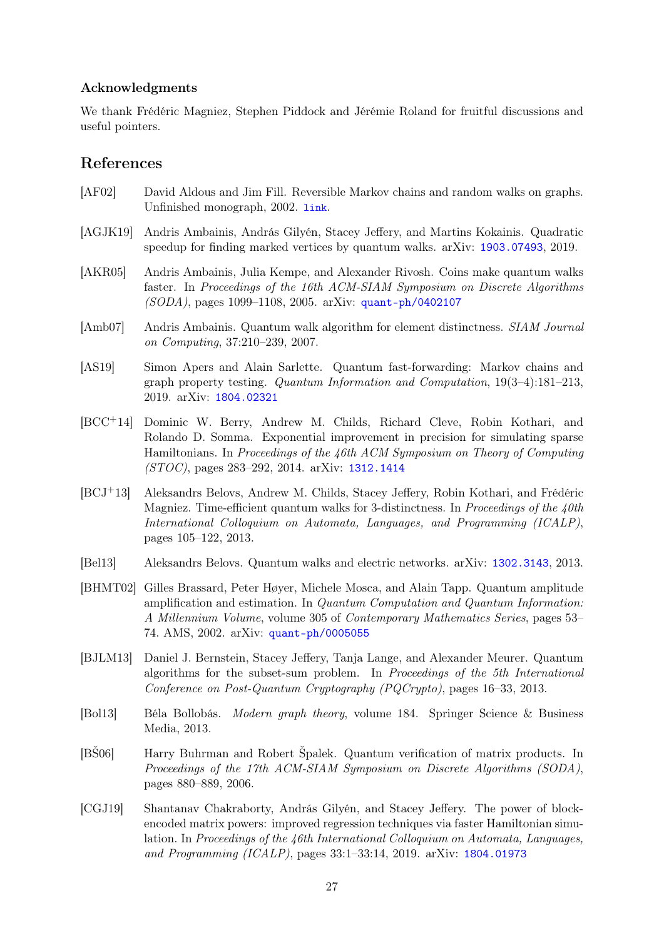### Acknowledgments

We thank Frédéric Magniez, Stephen Piddock and Jérémie Roland for fruitful discussions and useful pointers.

## References

- <span id="page-26-12"></span>[AF02] David Aldous and Jim Fill. Reversible Markov chains and random walks on graphs. Unfinished monograph, 2002. [link](https://www.stat.berkeley.edu/~aldous/RWG/book.pdf).
- <span id="page-26-2"></span>[AGJK19] Andris Ambainis, András Gilyén, Stacey Jeffery, and Martins Kokainis. Quadratic speedup for finding marked vertices by quantum walks. arXiv: [1903.07493](https://arxiv.org/abs/1903.07493), 2019.
- <span id="page-26-0"></span>[AKR05] Andris Ambainis, Julia Kempe, and Alexander Rivosh. Coins make quantum walks faster. In Proceedings of the 16th ACM-SIAM Symposium on Discrete Algorithms  $(SODA)$ , pages 1099–1108, 2005. arXiv: [quant-ph/0402107](https://arxiv.org/abs/quant-ph/0402107)
- <span id="page-26-7"></span>[Amb07] Andris Ambainis. Quantum walk algorithm for element distinctness. SIAM Journal on Computing, 37:210–239, 2007.
- <span id="page-26-6"></span>[AS19] Simon Apers and Alain Sarlette. Quantum fast-forwarding: Markov chains and graph property testing. Quantum Information and Computation, 19(3–4):181–213, 2019. arXiv: [1804.02321](https://arxiv.org/abs/1804.02321)
- <span id="page-26-10"></span>[BCC+14] Dominic W. Berry, Andrew M. Childs, Richard Cleve, Robin Kothari, and Rolando D. Somma. Exponential improvement in precision for simulating sparse Hamiltonians. In Proceedings of the 46th ACM Symposium on Theory of Computing (STOC), pages 283–292, 2014. arXiv: [1312.1414](https://arxiv.org/abs/1312.1414)
- <span id="page-26-4"></span>[BCJ+13] Aleksandrs Belovs, Andrew M. Childs, Stacey Jeffery, Robin Kothari, and Frédéric Magniez. Time-efficient quantum walks for 3-distinctness. In *Proceedings of the 40th* International Colloquium on Automata, Languages, and Programming (ICALP), pages 105–122, 2013.
- <span id="page-26-1"></span>[Bel13] Aleksandrs Belovs. Quantum walks and electric networks. arXiv: [1302.3143](https://arxiv.org/abs/1302.3143), 2013.
- <span id="page-26-9"></span>[BHMT02] Gilles Brassard, Peter Høyer, Michele Mosca, and Alain Tapp. Quantum amplitude amplification and estimation. In Quantum Computation and Quantum Information: A Millennium Volume, volume 305 of Contemporary Mathematics Series, pages 53– 74. AMS, 2002. arXiv: [quant-ph/0005055](https://arxiv.org/abs/quant-ph/0005055)
- <span id="page-26-5"></span>[BJLM13] Daniel J. Bernstein, Stacey Jeffery, Tanja Lange, and Alexander Meurer. Quantum algorithms for the subset-sum problem. In Proceedings of the 5th International Conference on Post-Quantum Cryptography (PQCrypto), pages 16–33, 2013.
- <span id="page-26-11"></span>[Bol13] Béla Bollobás. Modern graph theory, volume 184. Springer Science & Business Media, 2013.
- <span id="page-26-3"></span>[BŠ06] Harry Buhrman and Robert Špalek. Quantum verification of matrix products. In Proceedings of the 17th ACM-SIAM Symposium on Discrete Algorithms (SODA), pages 880–889, 2006.
- <span id="page-26-8"></span>[CGJ19] Shantanav Chakraborty, András Gilyén, and Stacey Jeffery. The power of blockencoded matrix powers: improved regression techniques via faster Hamiltonian simulation. In Proceedings of the  $46th$  International Colloquium on Automata, Languages, and Programming (ICALP), pages 33:1–33:14, 2019. arXiv: [1804.01973](https://arxiv.org/abs/1804.01973)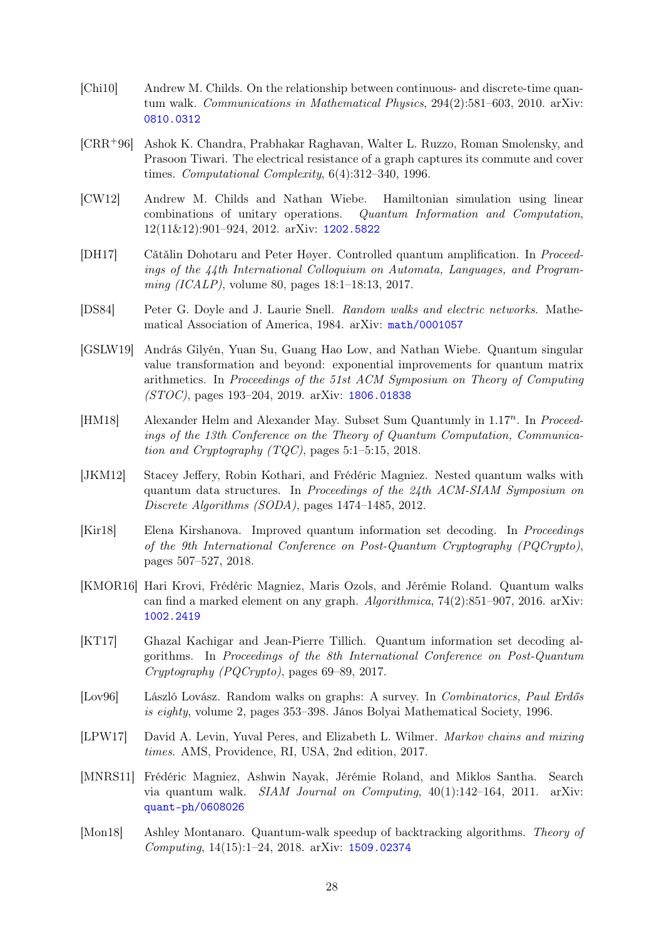- <span id="page-27-12"></span>[Chi10] Andrew M. Childs. On the relationship between continuous- and discrete-time quantum walk. Communications in Mathematical Physics, 294(2):581–603, 2010. arXiv: [0810.0312](https://arxiv.org/abs/0810.0312)
- <span id="page-27-10"></span>[CRR+96] Ashok K. Chandra, Prabhakar Raghavan, Walter L. Ruzzo, Roman Smolensky, and Prasoon Tiwari. The electrical resistance of a graph captures its commute and cover times. Computational Complexity, 6(4):312–340, 1996.
- <span id="page-27-13"></span>[CW12] Andrew M. Childs and Nathan Wiebe. Hamiltonian simulation using linear combinations of unitary operations. Quantum Information and Computation, 12(11&12):901–924, 2012. arXiv: [1202.5822](https://arxiv.org/abs/1202.5822)
- <span id="page-27-2"></span>[DH17] Cătălin Dohotaru and Peter Høyer. Controlled quantum amplification. In Proceedings of the 44th International Colloquium on Automata, Languages, and Programming (ICALP), volume 80, pages 18:1–18:13, 2017.
- <span id="page-27-9"></span>[DS84] Peter G. Doyle and J. Laurie Snell. Random walks and electric networks. Mathematical Association of America, 1984. arXiv: [math/0001057](https://arxiv.org/abs/math/0001057)
- <span id="page-27-11"></span>[GSLW19] András Gilyén, Yuan Su, Guang Hao Low, and Nathan Wiebe. Quantum singular value transformation and beyond: exponential improvements for quantum matrix arithmetics. In Proceedings of the 51st ACM Symposium on Theory of Computing (STOC), pages 193–204, 2019. arXiv: [1806.01838](https://arxiv.org/abs/1806.01838)
- <span id="page-27-6"></span>[HM18] Alexander Helm and Alexander May. Subset Sum Quantumly in 1.17<sup>n</sup>. In Proceedings of the 13th Conference on the Theory of Quantum Computation, Communication and Cryptography  $(TQC)$ , pages 5:1–5:15, 2018.
- <span id="page-27-3"></span>[JKM12] Stacey Jeffery, Robin Kothari, and Frédéric Magniez. Nested quantum walks with quantum data structures. In Proceedings of the 24th ACM-SIAM Symposium on Discrete Algorithms (SODA), pages 1474–1485, 2012.
- <span id="page-27-7"></span>[Kir18] Elena Kirshanova. Improved quantum information set decoding. In Proceedings of the 9th International Conference on Post-Quantum Cryptography (PQCrypto), pages 507–527, 2018.
- <span id="page-27-1"></span>[KMOR16] Hari Krovi, Frédéric Magniez, Maris Ozols, and Jérémie Roland. Quantum walks can find a marked element on any graph.  $Algorithmica$ ,  $74(2):851-907$ ,  $2016$ . arXiv: [1002.2419](https://arxiv.org/abs/1002.2419)
- <span id="page-27-5"></span>[KT17] Ghazal Kachigar and Jean-Pierre Tillich. Quantum information set decoding algorithms. In Proceedings of the 8th International Conference on Post-Quantum Cryptography (PQCrypto), pages 69–89, 2017.
- <span id="page-27-14"></span>[Lov96] László Lovász. Random walks on graphs: A survey. In Combinatorics, Paul Erdős is eighty, volume 2, pages 353–398. János Bolyai Mathematical Society, 1996.
- <span id="page-27-8"></span>[LPW17] David A. Levin, Yuval Peres, and Elizabeth L. Wilmer. *Markov chains and mixing* times. AMS, Providence, RI, USA, 2nd edition, 2017.
- <span id="page-27-0"></span>[MNRS11] Frédéric Magniez, Ashwin Nayak, Jérémie Roland, and Miklos Santha. Search via quantum walk. *SIAM Journal on Computing*,  $40(1):142-164$ ,  $2011$ . arXiv: [quant-ph/0608026](https://arxiv.org/abs/quant-ph/0608026)
- <span id="page-27-4"></span>[Mon18] Ashley Montanaro. Quantum-walk speedup of backtracking algorithms. Theory of Computing, 14(15):1–24, 2018. arXiv: [1509.02374](https://arxiv.org/abs/1509.02374)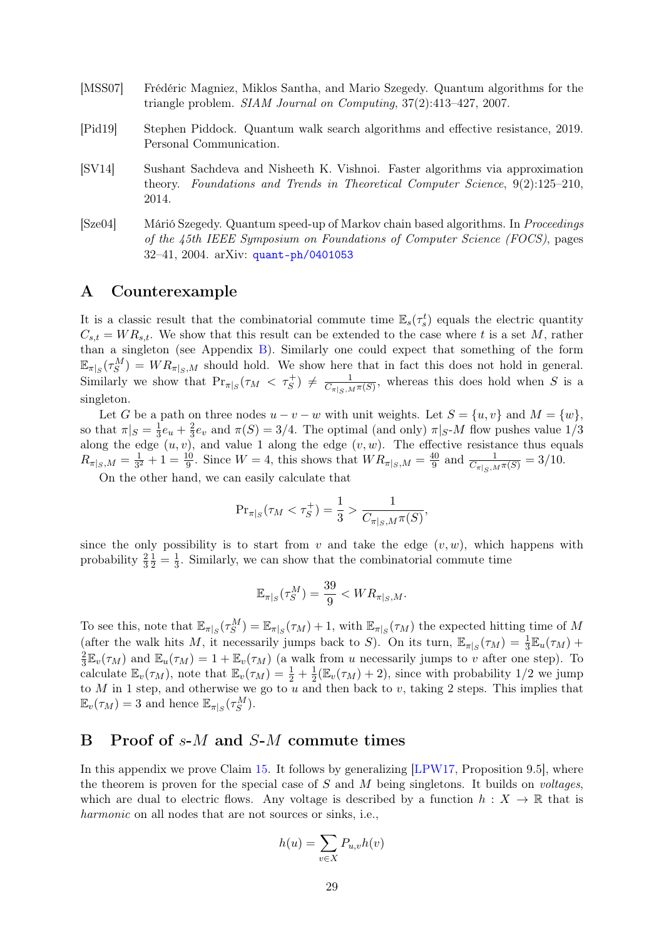- <span id="page-28-1"></span>[MSS07] Frédéric Magniez, Miklos Santha, and Mario Szegedy. Quantum algorithms for the triangle problem. SIAM Journal on Computing, 37(2):413–427, 2007.
- <span id="page-28-2"></span>[Pid19] Stephen Piddock. Quantum walk search algorithms and effective resistance, 2019. Personal Communication.
- <span id="page-28-5"></span>[SV14] Sushant Sachdeva and Nisheeth K. Vishnoi. Faster algorithms via approximation theory. Foundations and Trends in Theoretical Computer Science, 9(2):125–210, 2014.
- <span id="page-28-0"></span>[Sze04] Márió Szegedy. Quantum speed-up of Markov chain based algorithms. In Proceedings of the 45th IEEE Symposium on Foundations of Computer Science (FOCS), pages 32–41, 2004. arXiv: [quant-ph/0401053](https://arxiv.org/abs/quant-ph/0401053)

# <span id="page-28-4"></span>A Counterexample

It is a classic result that the combinatorial commute time  $\mathbb{E}_s(\tau_s^t)$  equals the electric quantity  $C_{s,t} = WR_{s,t}$ . We show that this result can be extended to the case where t is a set M, rather than a singleton (see Appendix [B\)](#page-28-3). Similarly one could expect that something of the form  $\mathbb{E}_{\pi|S}(\tau_S^M) = WR_{\pi|S,M}$  should hold. We show here that in fact this does not hold in general. Similarly we show that  $Pr_{\pi|_S}(\tau_M < \tau_S^+) \neq \frac{1}{C_{\pi|\sigma_M}}$  $\frac{1}{C_{\pi|S,M}\pi(S)}$ , whereas this does hold when S is a singleton.

Let G be a path on three nodes  $u - v - w$  with unit weights. Let  $S = \{u, v\}$  and  $M = \{w\}$ , so that  $\pi|_S = \frac{1}{3}e_u + \frac{2}{3}e_v$  and  $\pi(S) = 3/4$ . The optimal (and only)  $\pi|_{S}M$  flow pushes value 1/3  $\frac{3}{2}$  along the edge  $(u, v)$ , and value 1 along the edge  $(v, w)$ . The effective resistance thus equals  $R_{\pi|_S,M}=\frac{1}{3^2}$  $\frac{1}{3^2} + 1 = \frac{10}{9}$ . Since  $W = 4$ , this shows that  $WR_{\pi|_S,M} = \frac{40}{9}$  $\frac{40}{9}$  and  $\frac{1}{C_{\pi|_S,M}\pi(S)} = 3/10$ .

On the other hand, we can easily calculate that

$$
\Pr_{\pi|_S}(\tau_M < \tau_S^+) = \frac{1}{3} > \frac{1}{C_{\pi|_S, M} \pi(S)},
$$

since the only possibility is to start from v and take the edge  $(v, w)$ , which happens with probability  $\frac{2}{3}$  $\frac{1}{2} = \frac{1}{3}$  $\frac{1}{3}$ . Similarly, we can show that the combinatorial commute time

$$
\mathbb{E}_{\pi|_S}(\tau_S^M) = \frac{39}{9} < WR_{\pi|_S,M}.
$$

To see this, note that  $\mathbb{E}_{\pi|S}(\tau_S^M) = \mathbb{E}_{\pi|S}(\tau_M) + 1$ , with  $\mathbb{E}_{\pi|S}(\tau_M)$  the expected hitting time of M (after the walk hits M, it necessarily jumps back to S). On its turn,  $\mathbb{E}_{\pi|S}(\tau_M) = \frac{1}{3} \mathbb{E}_u(\tau_M)$  + 2  $\frac{2}{3}\mathbb{E}_v(\tau_M)$  and  $\mathbb{E}_u(\tau_M) = 1 + \mathbb{E}_v(\tau_M)$  (a walk from u necessarily jumps to v after one step). To calculate  $\mathbb{E}_v(\tau_M)$ , note that  $\mathbb{E}_v(\tau_M) = \frac{1}{2} + \frac{1}{2}$  $\frac{1}{2}(\mathbb{E}_v(\tau_M) + 2)$ , since with probability 1/2 we jump to M in 1 step, and otherwise we go to u and then back to v, taking 2 steps. This implies that  $\mathbb{E}_v(\tau_M) = 3$  and hence  $\mathbb{E}_{\pi|_S}(\tau_S^M)$ .

# <span id="page-28-3"></span>B Proof of s-M and S-M commute times

In this appendix we prove Claim [15.](#page-12-3) It follows by generalizing [\[LPW17,](#page-27-8) Proposition 9.5], where the theorem is proven for the special case of  $S$  and  $M$  being singletons. It builds on *voltages*, which are dual to electric flows. Any voltage is described by a function  $h : X \to \mathbb{R}$  that is harmonic on all nodes that are not sources or sinks, i.e.,

$$
h(u) = \sum_{v \in X} P_{u,v} h(v)
$$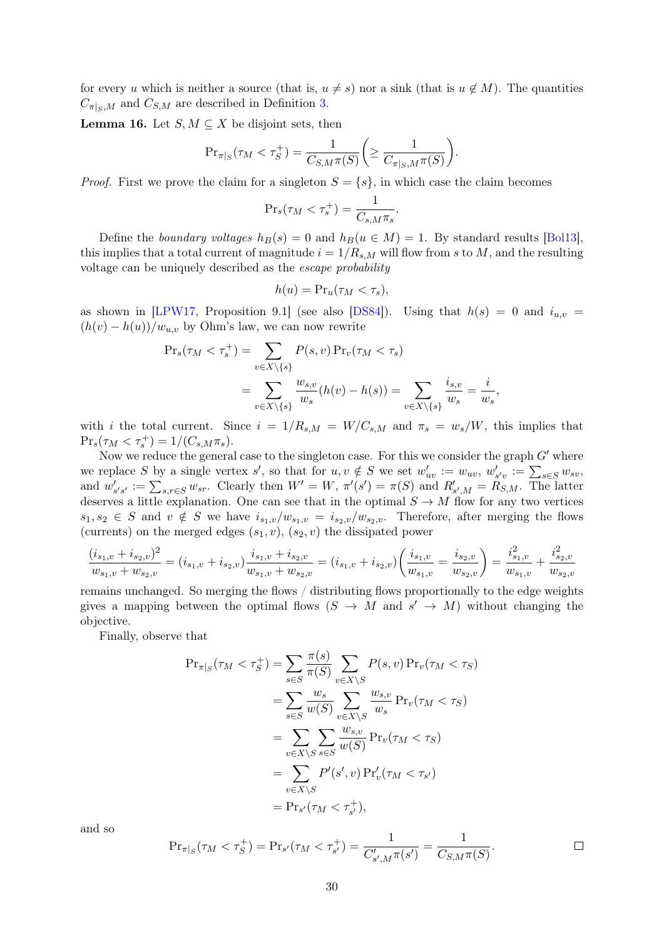for every u which is neither a source (that is,  $u \neq s$ ) nor a sink (that is  $u \notin M$ ). The quantities  $C_{\pi|_{S},M}$  and  $C_{S,M}$  are described in Definition [3.](#page-6-3)

**Lemma 16.** Let  $S, M \subseteq X$  be disjoint sets, then

$$
\mathrm{Pr}_{\pi|_S}(\tau_M < \tau_S^+) = \frac{1}{C_{S,M}\pi(S)} \bigg( \ge \frac{1}{C_{\pi|_S,M}\pi(S)} \bigg).
$$

*Proof.* First we prove the claim for a singleton  $S = \{s\}$ , in which case the claim becomes

$$
\Pr_s(\tau_M < \tau_s^+) = \frac{1}{C_{s,M}\pi_s}.
$$

Define the boundary voltages  $h_B(s) = 0$  and  $h_B(u \in M) = 1$ . By standard results [\[Bol13\]](#page-26-11), this implies that a total current of magnitude  $i = 1/R_{s,M}$  will flow from s to M, and the resulting voltage can be uniquely described as the escape probability

$$
h(u) = \Pr_u(\tau_M < \tau_s),
$$

as shown in [\[LPW17,](#page-27-8) Proposition 9.1] (see also [\[DS84\]](#page-27-9)). Using that  $h(s) = 0$  and  $i_{u,v} =$  $(h(v) - h(u))/w_{u,v}$  by Ohm's law, we can now rewrite

$$
\Pr_s(\tau_M < \tau_s^+) = \sum_{v \in X \setminus \{s\}} P(s, v) \Pr_v(\tau_M < \tau_s)
$$
\n
$$
= \sum_{v \in X \setminus \{s\}} \frac{w_{s,v}}{w_s} (h(v) - h(s)) = \sum_{v \in X \setminus \{s\}} \frac{i_{s,v}}{w_s} = \frac{i}{w_s}
$$

,

 $\Box$ 

with i the total current. Since  $i = 1/R_{s,M} = W/C_{s,M}$  and  $\pi_s = w_s/W$ , this implies that  $\Pr_s(\tau_M < \tau_s^+) = 1/(C_{s,M}\pi_s).$ 

Now we reduce the general case to the singleton case. For this we consider the graph  $G'$  where we replace S by a single vertex s', so that for  $u, v \notin S$  we set  $w'_{uv} := w_{uv}, w'_{s'v} := \sum_{s \in S} w_{sv}$ , and  $w'_{s's'} := \sum_{s,r \in S} w_{sr}$ . Clearly then  $W' = W$ ,  $\pi'(s') = \pi(S)$  and  $R'_{s',M} = R_{S,M}$ . The latter deserves a little explanation. One can see that in the optimal  $S \to M$  flow for any two vertices  $s_1, s_2 \in S$  and  $v \notin S$  we have  $i_{s_1,v}/w_{s_1,v} = i_{s_2,v}/w_{s_2,v}$ . Therefore, after merging the flows (currents) on the merged edges  $(s_1, v)$ ,  $(s_2, v)$  the dissipated power

$$
\frac{(i_{s_1,v} + i_{s_2,v})^2}{w_{s_1,v} + w_{s_2,v}} = (i_{s_1,v} + i_{s_2,v})\frac{i_{s_1,v} + i_{s_2,v}}{w_{s_1,v} + w_{s_2,v}} = (i_{s_1,v} + i_{s_2,v})\left(\frac{i_{s_1,v}}{w_{s_1,v}} = \frac{i_{s_2,v}}{w_{s_2,v}}\right) = \frac{i_{s_1,v}^2}{w_{s_1,v}} + \frac{i_{s_2,v}^2}{w_{s_2,v}}
$$

remains unchanged. So merging the flows / distributing flows proportionally to the edge weights gives a mapping between the optimal flows  $(S \to M$  and  $s' \to M)$  without changing the objective.

Finally, observe that

$$
\Pr_{\pi|_S}(\tau_M < \tau_S^+) = \sum_{s \in S} \frac{\pi(s)}{\pi(S)} \sum_{v \in X \setminus S} P(s, v) \Pr_v(\tau_M < \tau_S)
$$
\n
$$
= \sum_{s \in S} \frac{w_s}{w(S)} \sum_{v \in X \setminus S} \frac{w_{s,v}}{w_s} \Pr_v(\tau_M < \tau_S)
$$
\n
$$
= \sum_{v \in X \setminus S} \sum_{s \in S} \frac{w_{s,v}}{w(S)} \Pr_v(\tau_M < \tau_S)
$$
\n
$$
= \sum_{v \in X \setminus S} P'(s', v) \Pr'_v(\tau_M < \tau_{s'})
$$
\n
$$
= \Pr_{s'}(\tau_M < \tau_{s'}^+),
$$

and so

$$
\Pr_{\pi|_S}(\tau_M < \tau_S^+) = \Pr_{s'}(\tau_M < \tau_{s'}^+) = \frac{1}{C'_{s',M}\pi(s')} = \frac{1}{C_{S,M}\pi(S)}.
$$